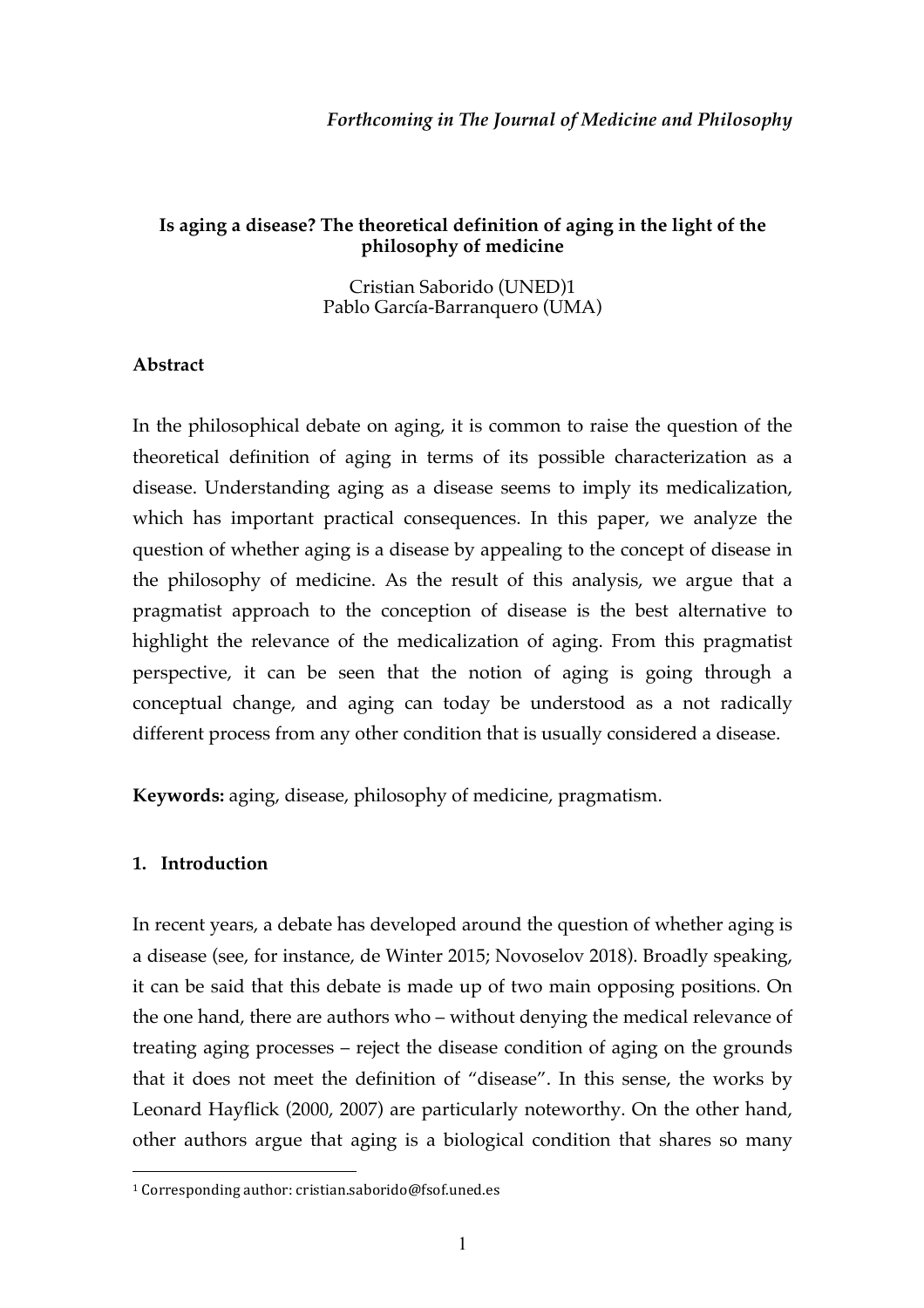### *Forthcoming in The Journal of Medicine and Philosophy*

### **Is aging a disease? The theoretical definition of aging in the light of the philosophy of medicine**

Cristian Saborido (UNED)1 Pablo García-Barranquero (UMA)

#### **Abstract**

In the philosophical debate on aging, it is common to raise the question of the theoretical definition of aging in terms of its possible characterization as a disease. Understanding aging as a disease seems to imply its medicalization, which has important practical consequences. In this paper, we analyze the question of whether aging is a disease by appealing to the concept of disease in the philosophy of medicine. As the result of this analysis, we argue that a pragmatist approach to the conception of disease is the best alternative to highlight the relevance of the medicalization of aging. From this pragmatist perspective, it can be seen that the notion of aging is going through a conceptual change, and aging can today be understood as a not radically different process from any other condition that is usually considered a disease.

**Keywords:** aging, disease, philosophy of medicine, pragmatism.

#### **1. Introduction**

 $\overline{a}$ 

In recent years, a debate has developed around the question of whether aging is a disease (see, for instance, de Winter 2015; Novoselov 2018). Broadly speaking, it can be said that this debate is made up of two main opposing positions. On the one hand, there are authors who – without denying the medical relevance of treating aging processes – reject the disease condition of aging on the grounds that it does not meet the definition of "disease". In this sense, the works by Leonard Hayflick (2000, 2007) are particularly noteworthy. On the other hand, other authors argue that aging is a biological condition that shares so many

 $1$  Corresponding author: cristian.saborido@fsof.uned.es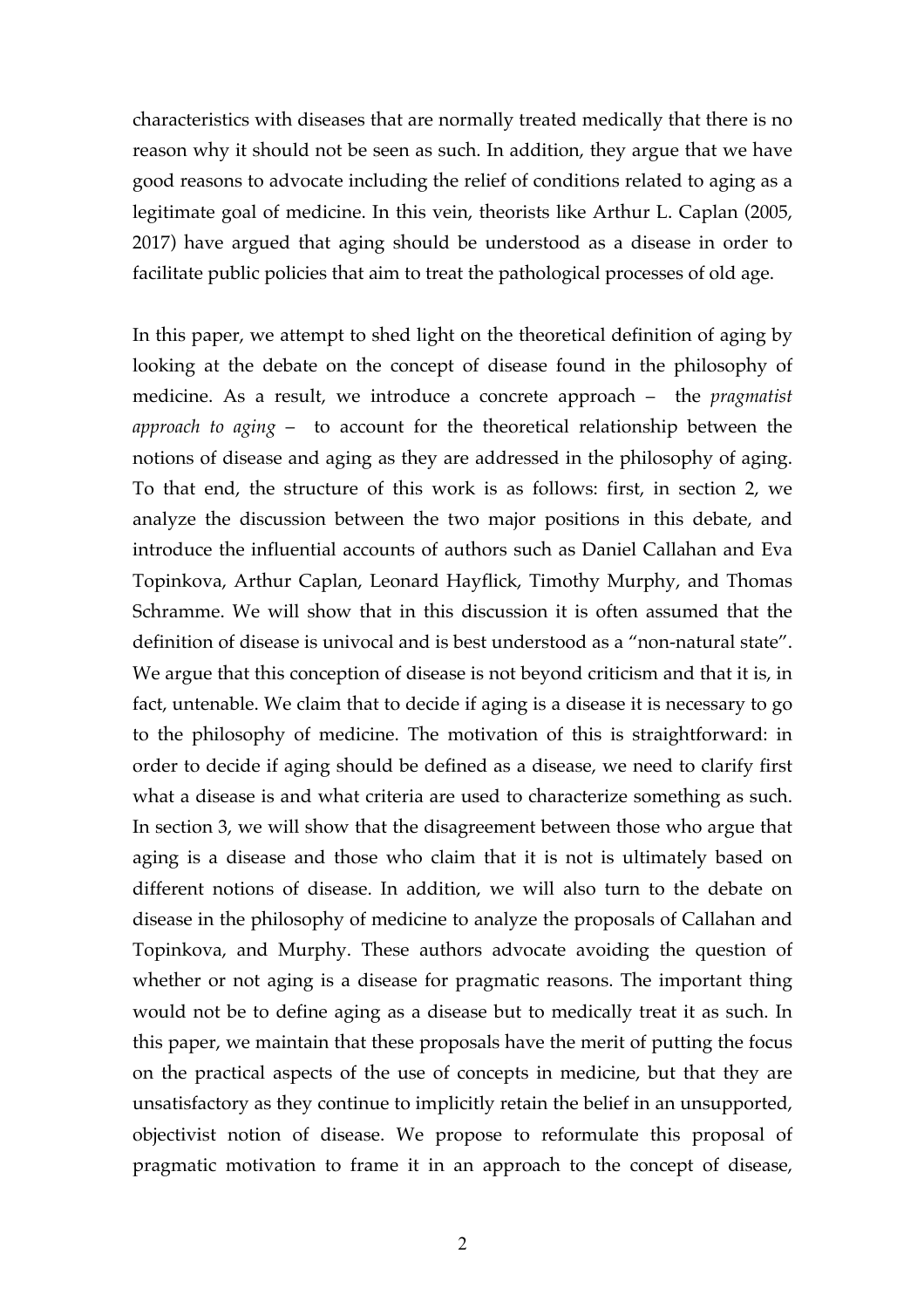characteristics with diseases that are normally treated medically that there is no reason why it should not be seen as such. In addition, they argue that we have good reasons to advocate including the relief of conditions related to aging as a legitimate goal of medicine. In this vein, theorists like Arthur L. Caplan (2005, 2017) have argued that aging should be understood as a disease in order to facilitate public policies that aim to treat the pathological processes of old age.

In this paper, we attempt to shed light on the theoretical definition of aging by looking at the debate on the concept of disease found in the philosophy of medicine. As a result, we introduce a concrete approach – the *pragmatist approach to aging* – to account for the theoretical relationship between the notions of disease and aging as they are addressed in the philosophy of aging. To that end, the structure of this work is as follows: first, in section 2, we analyze the discussion between the two major positions in this debate, and introduce the influential accounts of authors such as Daniel Callahan and Eva Topinkova, Arthur Caplan, Leonard Hayflick, Timothy Murphy, and Thomas Schramme. We will show that in this discussion it is often assumed that the definition of disease is univocal and is best understood as a "non-natural state". We argue that this conception of disease is not beyond criticism and that it is, in fact, untenable. We claim that to decide if aging is a disease it is necessary to go to the philosophy of medicine. The motivation of this is straightforward: in order to decide if aging should be defined as a disease, we need to clarify first what a disease is and what criteria are used to characterize something as such. In section 3, we will show that the disagreement between those who argue that aging is a disease and those who claim that it is not is ultimately based on different notions of disease. In addition, we will also turn to the debate on disease in the philosophy of medicine to analyze the proposals of Callahan and Topinkova, and Murphy. These authors advocate avoiding the question of whether or not aging is a disease for pragmatic reasons. The important thing would not be to define aging as a disease but to medically treat it as such. In this paper, we maintain that these proposals have the merit of putting the focus on the practical aspects of the use of concepts in medicine, but that they are unsatisfactory as they continue to implicitly retain the belief in an unsupported, objectivist notion of disease. We propose to reformulate this proposal of pragmatic motivation to frame it in an approach to the concept of disease,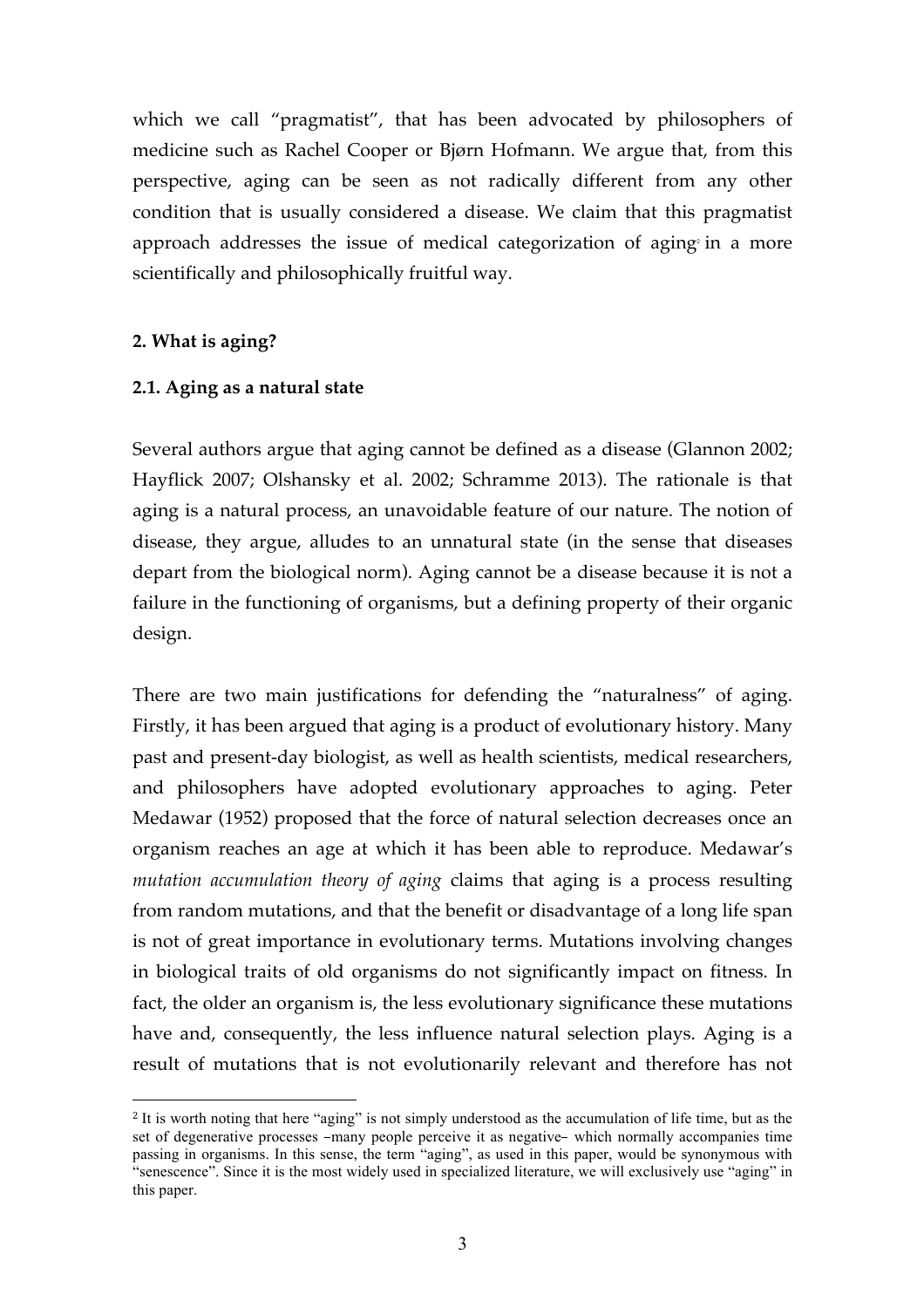which we call "pragmatist", that has been advocated by philosophers of medicine such as Rachel Cooper or Bjørn Hofmann. We argue that, from this perspective, aging can be seen as not radically different from any other condition that is usually considered a disease. We claim that this pragmatist approach addresses the issue of medical categorization of aging in a more scientifically and philosophically fruitful way.

# **2. What is aging?**

 $\overline{a}$ 

# **2.1. Aging as a natural state**

Several authors argue that aging cannot be defined as a disease (Glannon 2002; Hayflick 2007; Olshansky et al. 2002; Schramme 2013). The rationale is that aging is a natural process, an unavoidable feature of our nature. The notion of disease, they argue, alludes to an unnatural state (in the sense that diseases depart from the biological norm). Aging cannot be a disease because it is not a failure in the functioning of organisms, but a defining property of their organic design.

There are two main justifications for defending the "naturalness" of aging. Firstly, it has been argued that aging is a product of evolutionary history. Many past and present-day biologist, as well as health scientists, medical researchers, and philosophers have adopted evolutionary approaches to aging. Peter Medawar (1952) proposed that the force of natural selection decreases once an organism reaches an age at which it has been able to reproduce. Medawar's *mutation accumulation theory of aging* claims that aging is a process resulting from random mutations, and that the benefit or disadvantage of a long life span is not of great importance in evolutionary terms. Mutations involving changes in biological traits of old organisms do not significantly impact on fitness. In fact, the older an organism is, the less evolutionary significance these mutations have and, consequently, the less influence natural selection plays. Aging is a result of mutations that is not evolutionarily relevant and therefore has not

<sup>2</sup> It is worth noting that here "aging" is not simply understood as the accumulation of life time, but as the set of degenerative processes –many people perceive it as negative– which normally accompanies time passing in organisms. In this sense, the term "aging", as used in this paper, would be synonymous with "senescence". Since it is the most widely used in specialized literature, we will exclusively use "aging" in this paper.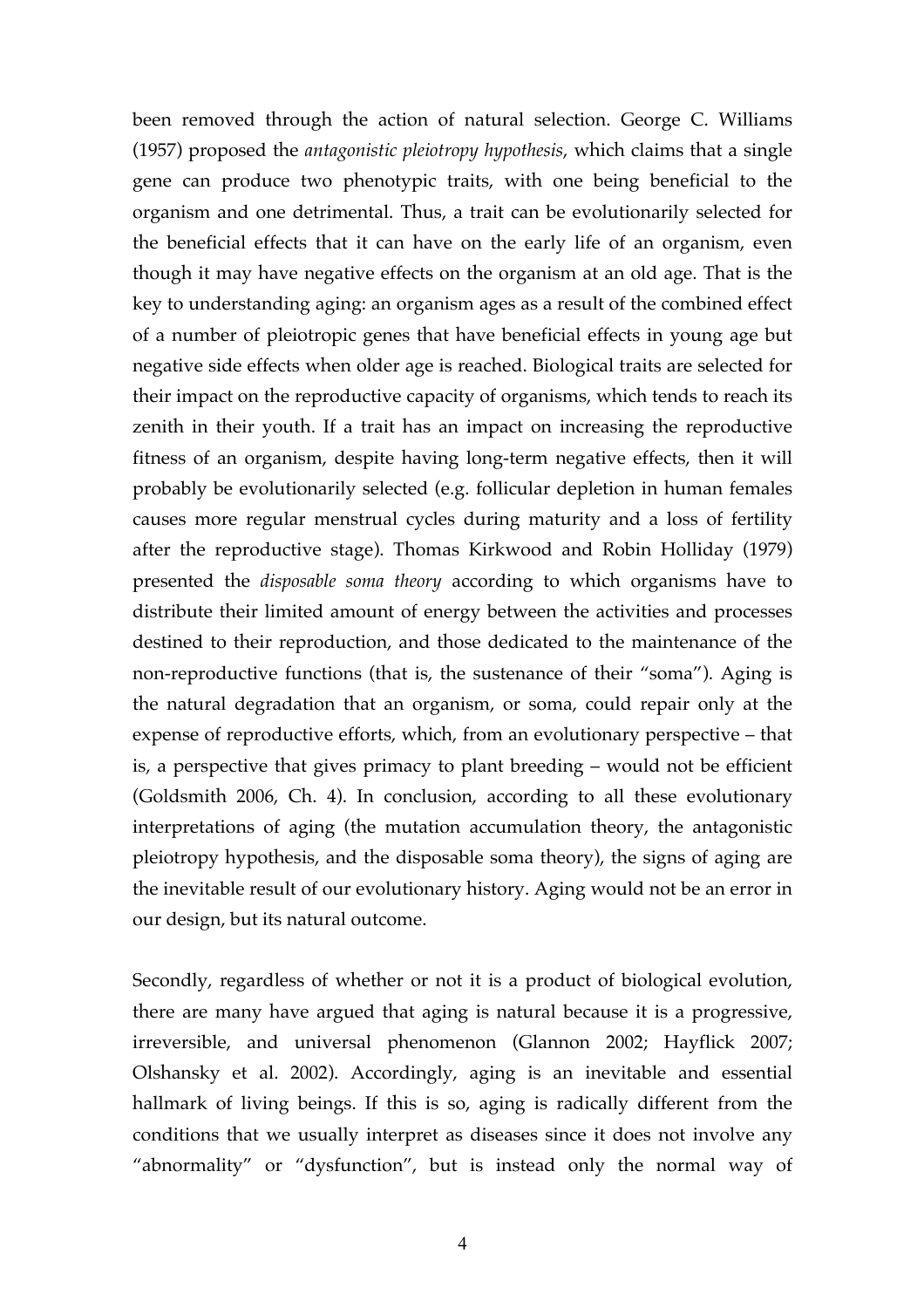been removed through the action of natural selection. George C. Williams (1957) proposed the *antagonistic pleiotropy hypothesis*, which claims that a single gene can produce two phenotypic traits, with one being beneficial to the organism and one detrimental. Thus, a trait can be evolutionarily selected for the beneficial effects that it can have on the early life of an organism, even though it may have negative effects on the organism at an old age. That is the key to understanding aging: an organism ages as a result of the combined effect of a number of pleiotropic genes that have beneficial effects in young age but negative side effects when older age is reached. Biological traits are selected for their impact on the reproductive capacity of organisms, which tends to reach its zenith in their youth. If a trait has an impact on increasing the reproductive fitness of an organism, despite having long-term negative effects, then it will probably be evolutionarily selected (e.g. follicular depletion in human females causes more regular menstrual cycles during maturity and a loss of fertility after the reproductive stage). Thomas Kirkwood and Robin Holliday (1979) presented the *disposable soma theory* according to which organisms have to distribute their limited amount of energy between the activities and processes destined to their reproduction, and those dedicated to the maintenance of the non-reproductive functions (that is, the sustenance of their "soma"). Aging is the natural degradation that an organism, or soma, could repair only at the expense of reproductive efforts, which, from an evolutionary perspective – that is, a perspective that gives primacy to plant breeding – would not be efficient (Goldsmith 2006, Ch. 4). In conclusion, according to all these evolutionary interpretations of aging (the mutation accumulation theory, the antagonistic pleiotropy hypothesis, and the disposable soma theory), the signs of aging are the inevitable result of our evolutionary history. Aging would not be an error in our design, but its natural outcome.

Secondly, regardless of whether or not it is a product of biological evolution, there are many have argued that aging is natural because it is a progressive, irreversible, and universal phenomenon (Glannon 2002; Hayflick 2007; Olshansky et al. 2002). Accordingly, aging is an inevitable and essential hallmark of living beings. If this is so, aging is radically different from the conditions that we usually interpret as diseases since it does not involve any "abnormality" or "dysfunction", but is instead only the normal way of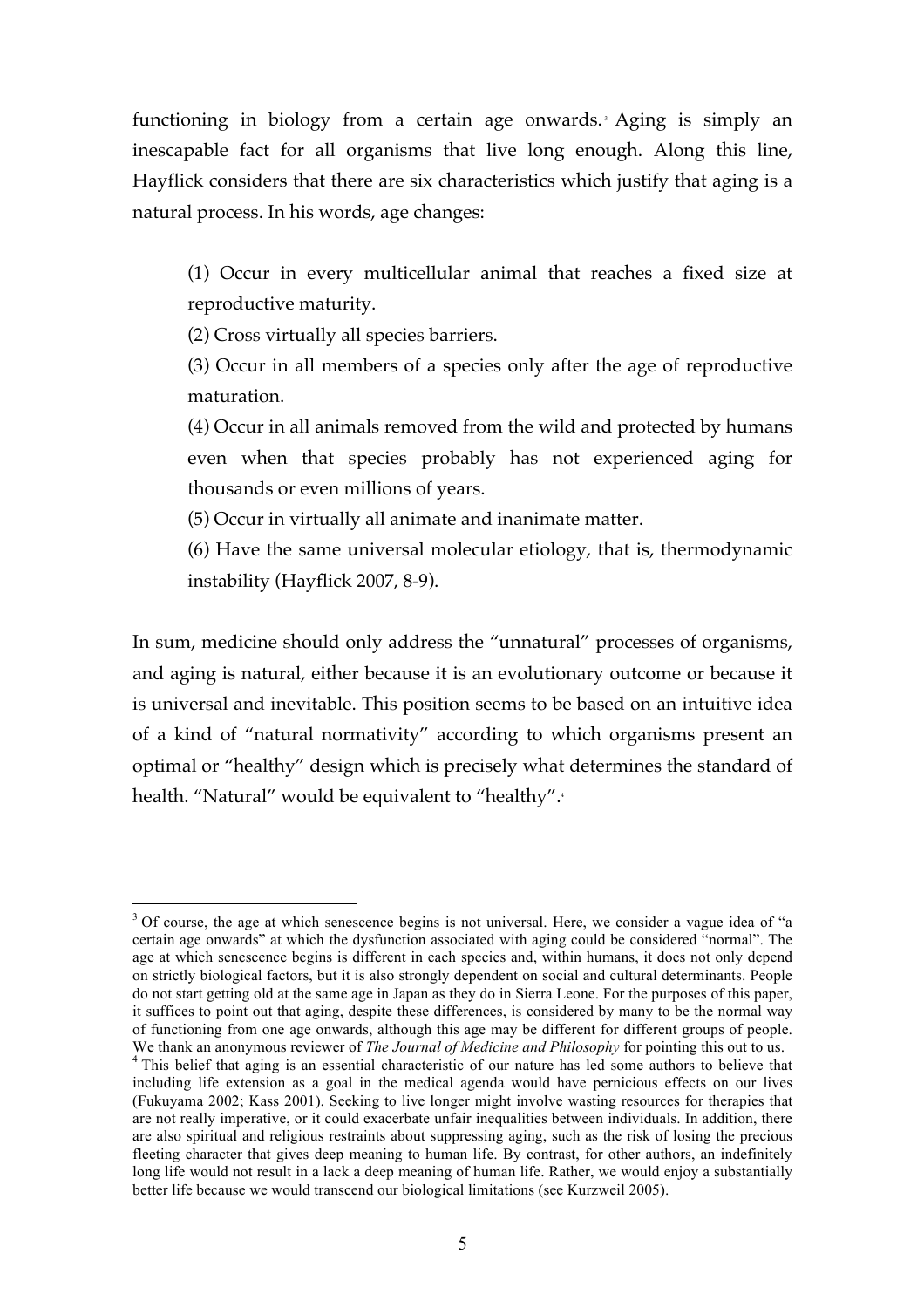functioning in biology from a certain age onwards. Aging is simply an inescapable fact for all organisms that live long enough. Along this line, Hayflick considers that there are six characteristics which justify that aging is a natural process. In his words, age changes:

(1) Occur in every multicellular animal that reaches a fixed size at reproductive maturity.

(2) Cross virtually all species barriers.

(3) Occur in all members of a species only after the age of reproductive maturation.

(4) Occur in all animals removed from the wild and protected by humans even when that species probably has not experienced aging for thousands or even millions of years.

(5) Occur in virtually all animate and inanimate matter.

(6) Have the same universal molecular etiology, that is, thermodynamic instability (Hayflick 2007, 8-9).

In sum, medicine should only address the "unnatural" processes of organisms, and aging is natural, either because it is an evolutionary outcome or because it is universal and inevitable. This position seems to be based on an intuitive idea of a kind of "natural normativity" according to which organisms present an optimal or "healthy" design which is precisely what determines the standard of health. "Natural" would be equivalent to "healthy". 4

<sup>&</sup>lt;sup>3</sup> Of course, the age at which senescence begins is not universal. Here, we consider a vague idea of "a certain age onwards" at which the dysfunction associated with aging could be considered "normal". The age at which senescence begins is different in each species and, within humans, it does not only depend on strictly biological factors, but it is also strongly dependent on social and cultural determinants. People do not start getting old at the same age in Japan as they do in Sierra Leone. For the purposes of this paper, it suffices to point out that aging, despite these differences, is considered by many to be the normal way of functioning from one age onwards, although this age may be different for different groups of people. We thank an anonymous reviewer of *The Journal of Medicine and Philosophy* for pointing this out to us.<br><sup>4</sup> This belief that aging is an essential characteristic of our nature has led some authors to believe that

including life extension as a goal in the medical agenda would have pernicious effects on our lives (Fukuyama 2002; Kass 2001). Seeking to live longer might involve wasting resources for therapies that are not really imperative, or it could exacerbate unfair inequalities between individuals. In addition, there are also spiritual and religious restraints about suppressing aging, such as the risk of losing the precious fleeting character that gives deep meaning to human life. By contrast, for other authors, an indefinitely long life would not result in a lack a deep meaning of human life. Rather, we would enjoy a substantially better life because we would transcend our biological limitations (see Kurzweil 2005).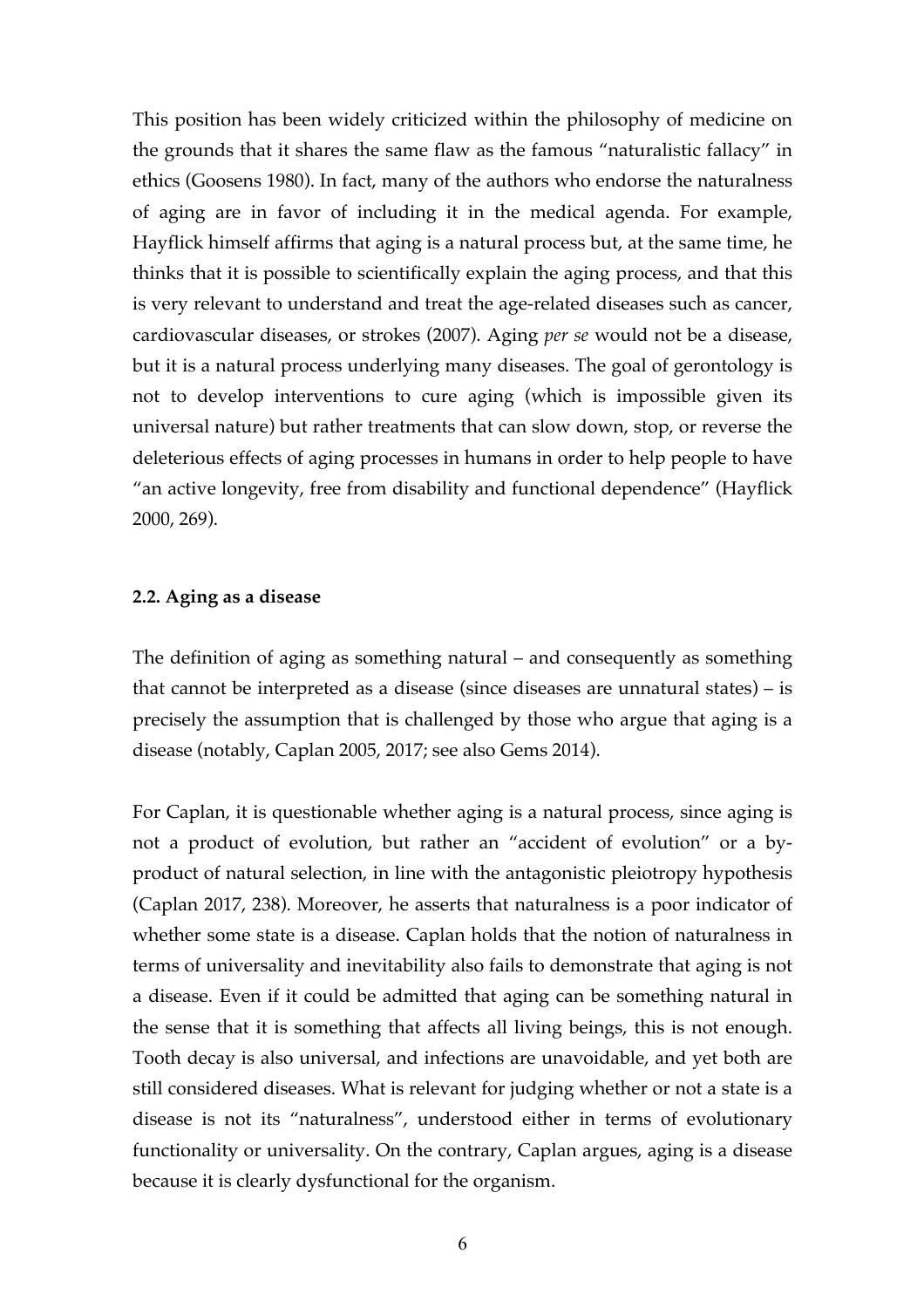This position has been widely criticized within the philosophy of medicine on the grounds that it shares the same flaw as the famous "naturalistic fallacy" in ethics (Goosens 1980). In fact, many of the authors who endorse the naturalness of aging are in favor of including it in the medical agenda. For example, Hayflick himself affirms that aging is a natural process but, at the same time, he thinks that it is possible to scientifically explain the aging process, and that this is very relevant to understand and treat the age-related diseases such as cancer, cardiovascular diseases, or strokes (2007). Aging *per se* would not be a disease, but it is a natural process underlying many diseases. The goal of gerontology is not to develop interventions to cure aging (which is impossible given its universal nature) but rather treatments that can slow down, stop, or reverse the deleterious effects of aging processes in humans in order to help people to have "an active longevity, free from disability and functional dependence" (Hayflick 2000, 269).

#### **2.2. Aging as a disease**

The definition of aging as something natural – and consequently as something that cannot be interpreted as a disease (since diseases are unnatural states) – is precisely the assumption that is challenged by those who argue that aging is a disease (notably, Caplan 2005, 2017; see also Gems 2014).

For Caplan, it is questionable whether aging is a natural process, since aging is not a product of evolution, but rather an "accident of evolution" or a byproduct of natural selection, in line with the antagonistic pleiotropy hypothesis (Caplan 2017, 238). Moreover, he asserts that naturalness is a poor indicator of whether some state is a disease. Caplan holds that the notion of naturalness in terms of universality and inevitability also fails to demonstrate that aging is not a disease. Even if it could be admitted that aging can be something natural in the sense that it is something that affects all living beings, this is not enough. Tooth decay is also universal, and infections are unavoidable, and yet both are still considered diseases. What is relevant for judging whether or not a state is a disease is not its "naturalness", understood either in terms of evolutionary functionality or universality. On the contrary, Caplan argues, aging is a disease because it is clearly dysfunctional for the organism.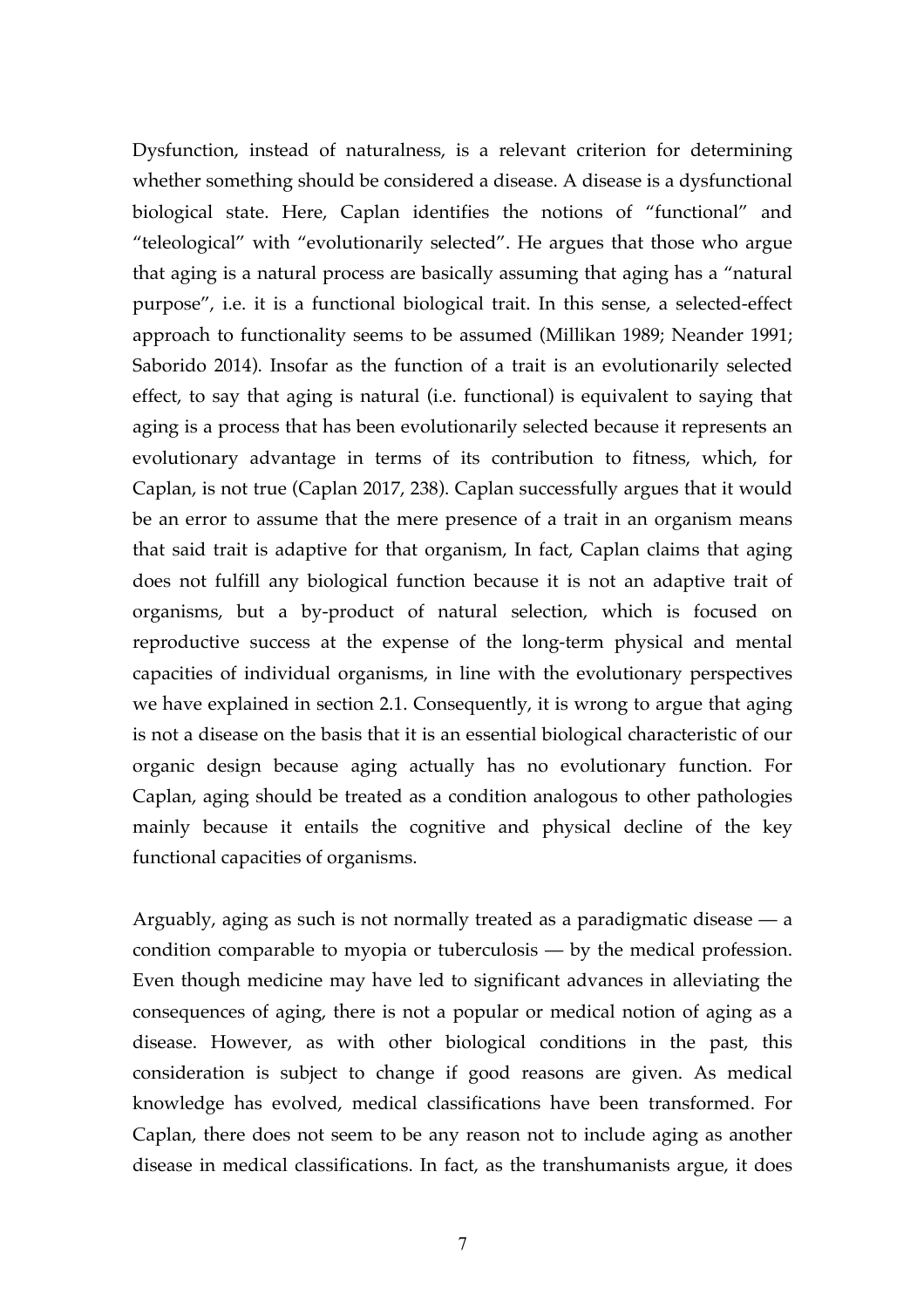Dysfunction, instead of naturalness, is a relevant criterion for determining whether something should be considered a disease. A disease is a dysfunctional biological state. Here, Caplan identifies the notions of "functional" and "teleological" with "evolutionarily selected". He argues that those who argue that aging is a natural process are basically assuming that aging has a "natural purpose", i.e. it is a functional biological trait. In this sense, a selected-effect approach to functionality seems to be assumed (Millikan 1989; Neander 1991; Saborido 2014). Insofar as the function of a trait is an evolutionarily selected effect, to say that aging is natural (i.e. functional) is equivalent to saying that aging is a process that has been evolutionarily selected because it represents an evolutionary advantage in terms of its contribution to fitness, which, for Caplan, is not true (Caplan 2017, 238). Caplan successfully argues that it would be an error to assume that the mere presence of a trait in an organism means that said trait is adaptive for that organism, In fact, Caplan claims that aging does not fulfill any biological function because it is not an adaptive trait of organisms, but a by-product of natural selection, which is focused on reproductive success at the expense of the long-term physical and mental capacities of individual organisms, in line with the evolutionary perspectives we have explained in section 2.1. Consequently, it is wrong to argue that aging is not a disease on the basis that it is an essential biological characteristic of our organic design because aging actually has no evolutionary function. For Caplan, aging should be treated as a condition analogous to other pathologies mainly because it entails the cognitive and physical decline of the key functional capacities of organisms.

Arguably, aging as such is not normally treated as a paradigmatic disease — a condition comparable to myopia or tuberculosis — by the medical profession. Even though medicine may have led to significant advances in alleviating the consequences of aging, there is not a popular or medical notion of aging as a disease. However, as with other biological conditions in the past, this consideration is subject to change if good reasons are given. As medical knowledge has evolved, medical classifications have been transformed. For Caplan, there does not seem to be any reason not to include aging as another disease in medical classifications. In fact, as the transhumanists argue, it does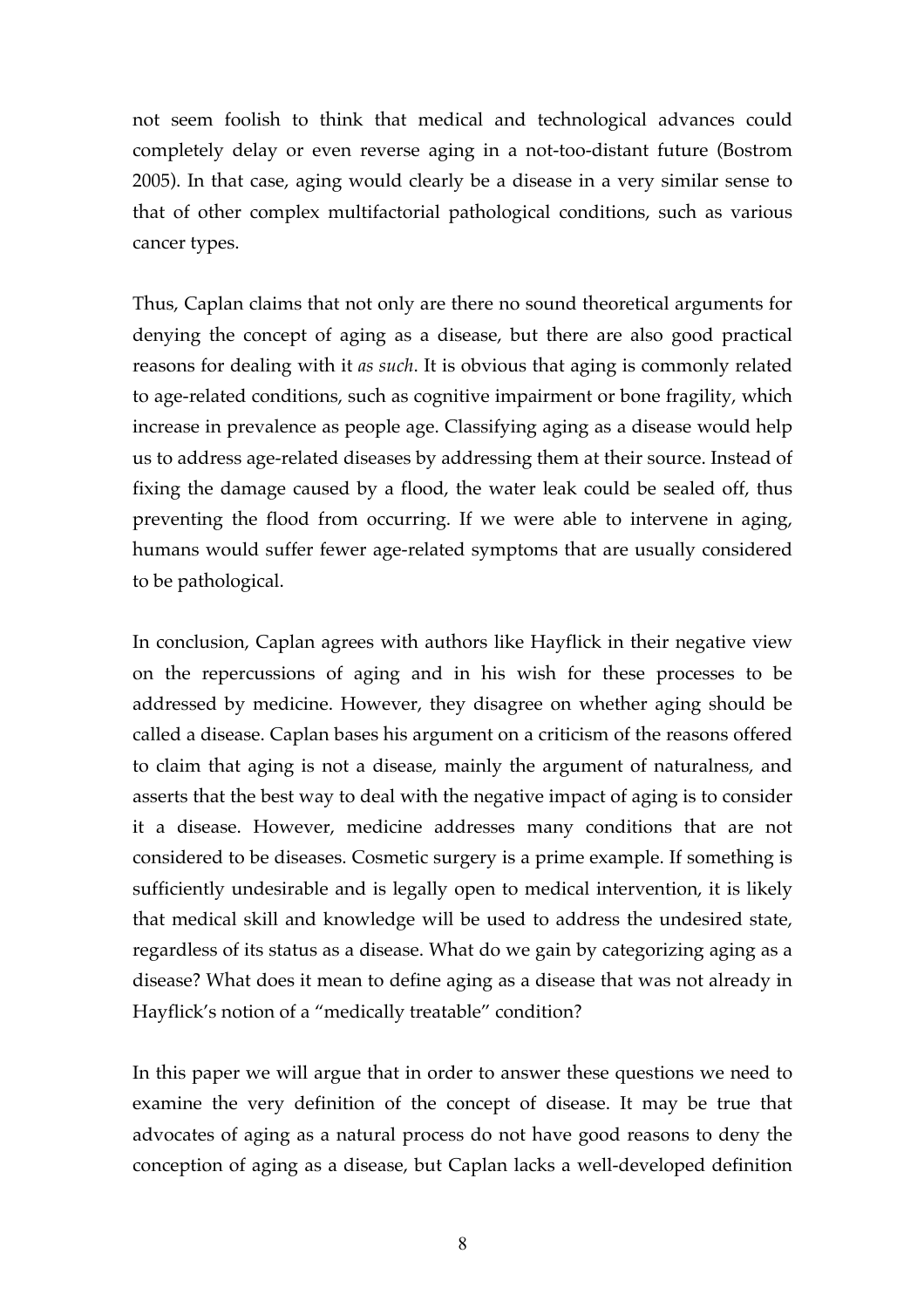not seem foolish to think that medical and technological advances could completely delay or even reverse aging in a not-too-distant future (Bostrom 2005). In that case, aging would clearly be a disease in a very similar sense to that of other complex multifactorial pathological conditions, such as various cancer types.

Thus, Caplan claims that not only are there no sound theoretical arguments for denying the concept of aging as a disease, but there are also good practical reasons for dealing with it *as such*. It is obvious that aging is commonly related to age-related conditions, such as cognitive impairment or bone fragility, which increase in prevalence as people age. Classifying aging as a disease would help us to address age-related diseases by addressing them at their source. Instead of fixing the damage caused by a flood, the water leak could be sealed off, thus preventing the flood from occurring. If we were able to intervene in aging, humans would suffer fewer age-related symptoms that are usually considered to be pathological.

In conclusion, Caplan agrees with authors like Hayflick in their negative view on the repercussions of aging and in his wish for these processes to be addressed by medicine. However, they disagree on whether aging should be called a disease. Caplan bases his argument on a criticism of the reasons offered to claim that aging is not a disease, mainly the argument of naturalness, and asserts that the best way to deal with the negative impact of aging is to consider it a disease. However, medicine addresses many conditions that are not considered to be diseases. Cosmetic surgery is a prime example. If something is sufficiently undesirable and is legally open to medical intervention, it is likely that medical skill and knowledge will be used to address the undesired state, regardless of its status as a disease. What do we gain by categorizing aging as a disease? What does it mean to define aging as a disease that was not already in Hayflick's notion of a "medically treatable" condition?

In this paper we will argue that in order to answer these questions we need to examine the very definition of the concept of disease. It may be true that advocates of aging as a natural process do not have good reasons to deny the conception of aging as a disease, but Caplan lacks a well-developed definition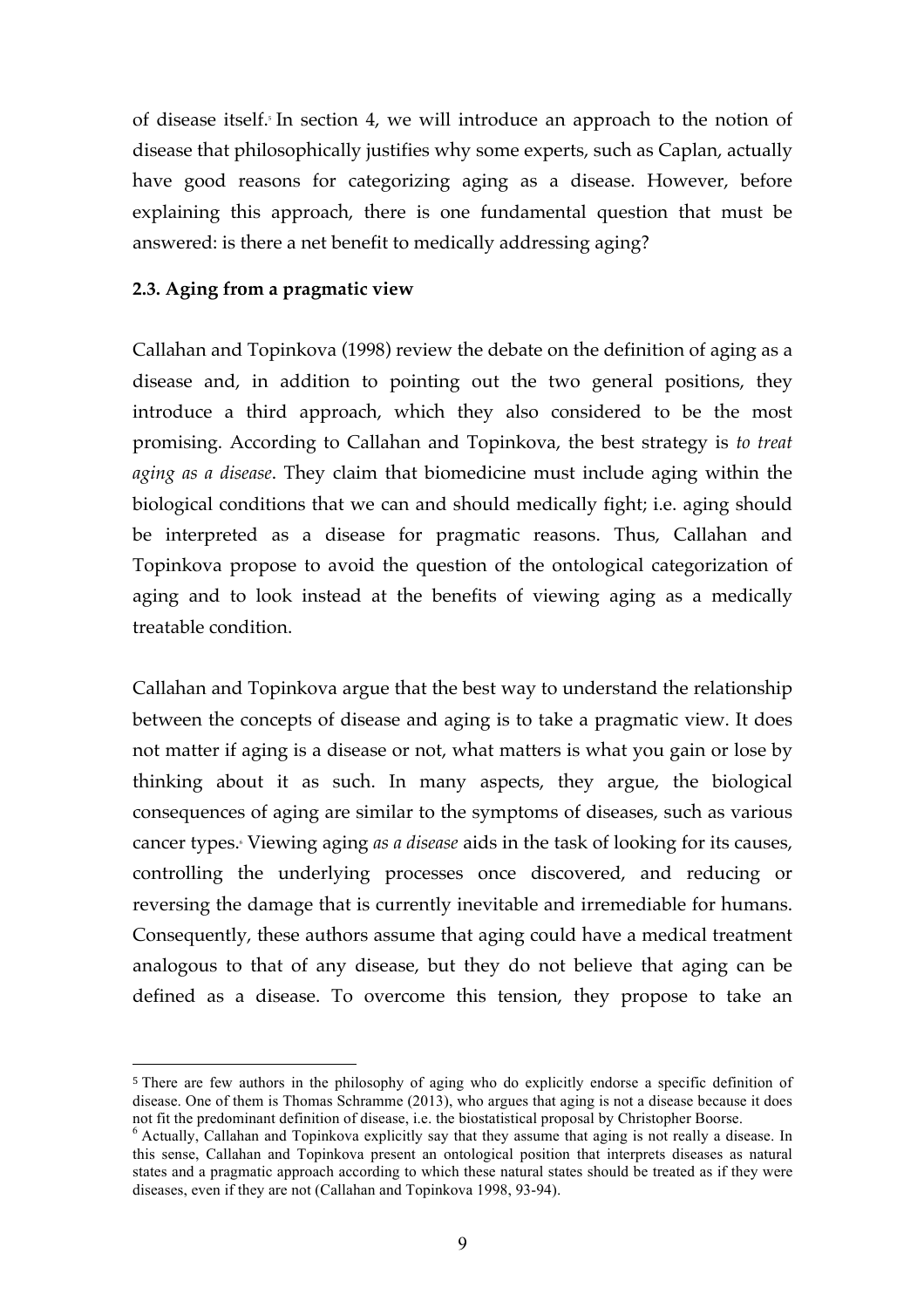of disease itself. <sup>5</sup> In section 4, we will introduce an approach to the notion of disease that philosophically justifies why some experts, such as Caplan, actually have good reasons for categorizing aging as a disease. However, before explaining this approach, there is one fundamental question that must be answered: is there a net benefit to medically addressing aging?

# **2.3. Aging from a pragmatic view**

 $\overline{a}$ 

Callahan and Topinkova (1998) review the debate on the definition of aging as a disease and, in addition to pointing out the two general positions, they introduce a third approach, which they also considered to be the most promising. According to Callahan and Topinkova, the best strategy is *to treat aging as a disease*. They claim that biomedicine must include aging within the biological conditions that we can and should medically fight; i.e. aging should be interpreted as a disease for pragmatic reasons. Thus, Callahan and Topinkova propose to avoid the question of the ontological categorization of aging and to look instead at the benefits of viewing aging as a medically treatable condition.

Callahan and Topinkova argue that the best way to understand the relationship between the concepts of disease and aging is to take a pragmatic view. It does not matter if aging is a disease or not, what matters is what you gain or lose by thinking about it as such. In many aspects, they argue, the biological consequences of aging are similar to the symptoms of diseases, such as various cancer types. <sup>6</sup> Viewing aging *as a disease* aids in the task of looking for its causes, controlling the underlying processes once discovered, and reducing or reversing the damage that is currently inevitable and irremediable for humans. Consequently, these authors assume that aging could have a medical treatment analogous to that of any disease, but they do not believe that aging can be defined as a disease. To overcome this tension, they propose to take an

<sup>5</sup> There are few authors in the philosophy of aging who do explicitly endorse a specific definition of disease. One of them is Thomas Schramme (2013), who argues that aging is not a disease because it does not fit the predominant definition of disease, i.e. the biostatistical proposal by Christopher Boorse.<br><sup>6</sup> Actually, Callahan and Topinkova explicitly say that they assume that aging is not really a disease. In

this sense, Callahan and Topinkova present an ontological position that interprets diseases as natural states and a pragmatic approach according to which these natural states should be treated as if they were diseases, even if they are not (Callahan and Topinkova 1998, 93-94).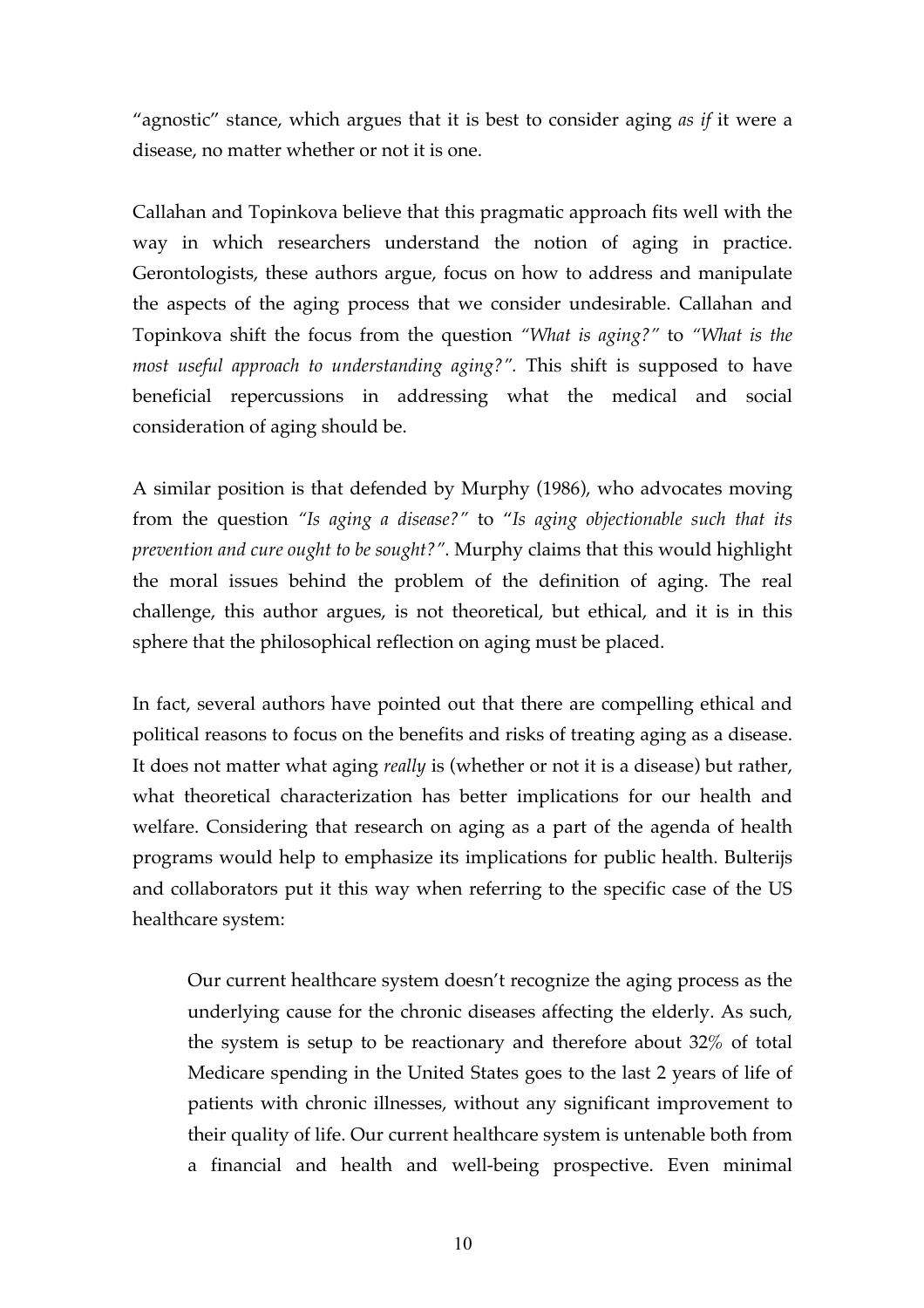"agnostic" stance, which argues that it is best to consider aging *as if* it were a disease, no matter whether or not it is one.

Callahan and Topinkova believe that this pragmatic approach fits well with the way in which researchers understand the notion of aging in practice. Gerontologists, these authors argue, focus on how to address and manipulate the aspects of the aging process that we consider undesirable. Callahan and Topinkova shift the focus from the question *"What is aging?"* to *"What is the most useful approach to understanding aging?".* This shift is supposed to have beneficial repercussions in addressing what the medical and social consideration of aging should be.

A similar position is that defended by Murphy (1986), who advocates moving from the question *"Is aging a disease?"* to "*Is aging objectionable such that its prevention and cure ought to be sought?"*. Murphy claims that this would highlight the moral issues behind the problem of the definition of aging. The real challenge, this author argues, is not theoretical, but ethical, and it is in this sphere that the philosophical reflection on aging must be placed.

In fact, several authors have pointed out that there are compelling ethical and political reasons to focus on the benefits and risks of treating aging as a disease. It does not matter what aging *really* is (whether or not it is a disease) but rather, what theoretical characterization has better implications for our health and welfare. Considering that research on aging as a part of the agenda of health programs would help to emphasize its implications for public health. Bulterijs and collaborators put it this way when referring to the specific case of the US healthcare system:

Our current healthcare system doesn't recognize the aging process as the underlying cause for the chronic diseases affecting the elderly. As such, the system is setup to be reactionary and therefore about 32% of total Medicare spending in the United States goes to the last 2 years of life of patients with chronic illnesses, without any significant improvement to their quality of life. Our current healthcare system is untenable both from a financial and health and well-being prospective. Even minimal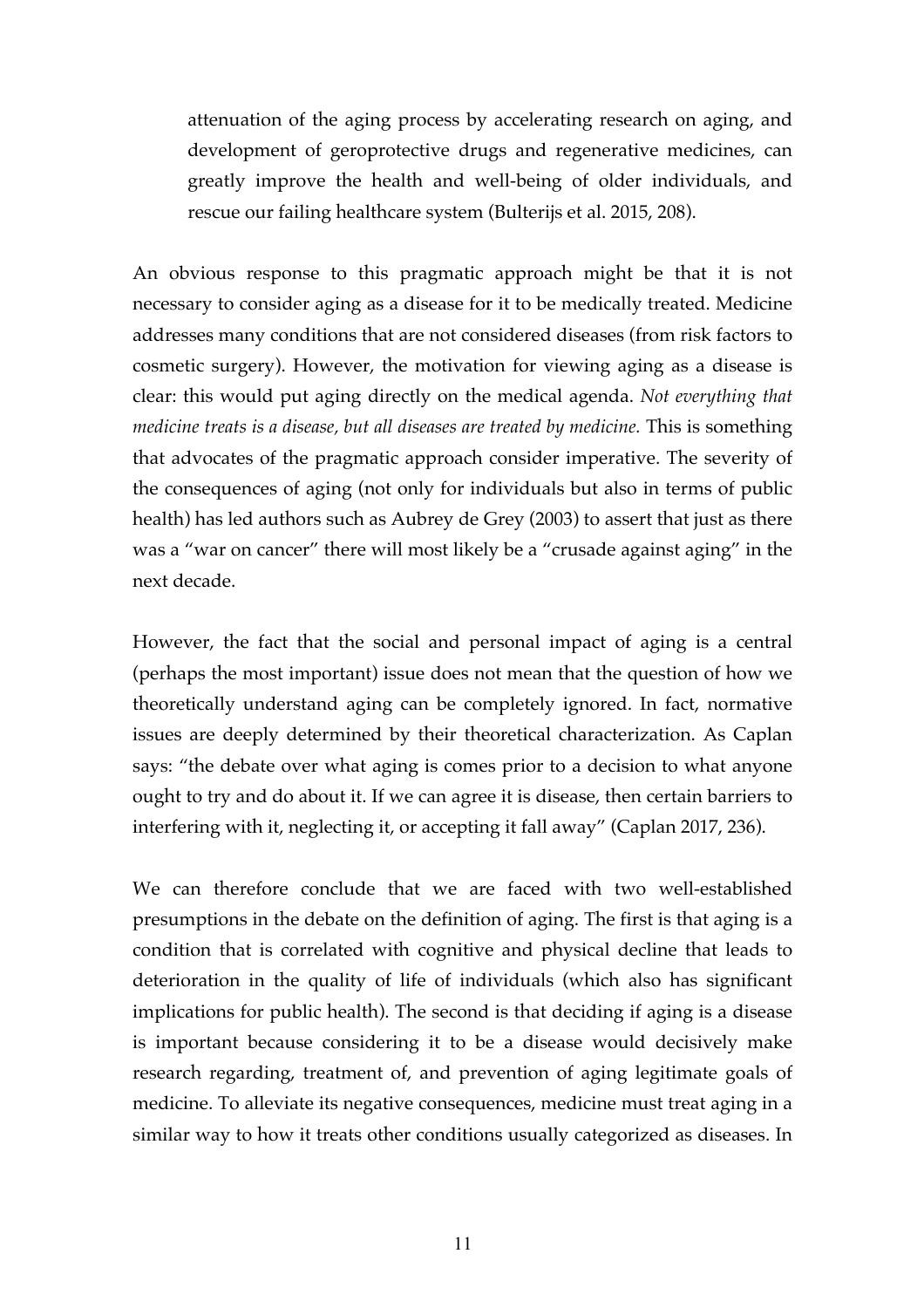attenuation of the aging process by accelerating research on aging, and development of geroprotective drugs and regenerative medicines, can greatly improve the health and well-being of older individuals, and rescue our failing healthcare system (Bulterijs et al. 2015, 208).

An obvious response to this pragmatic approach might be that it is not necessary to consider aging as a disease for it to be medically treated. Medicine addresses many conditions that are not considered diseases (from risk factors to cosmetic surgery). However, the motivation for viewing aging as a disease is clear: this would put aging directly on the medical agenda. *Not everything that medicine treats is a disease, but all diseases are treated by medicine.* This is something that advocates of the pragmatic approach consider imperative. The severity of the consequences of aging (not only for individuals but also in terms of public health) has led authors such as Aubrey de Grey (2003) to assert that just as there was a "war on cancer" there will most likely be a "crusade against aging" in the next decade.

However, the fact that the social and personal impact of aging is a central (perhaps the most important) issue does not mean that the question of how we theoretically understand aging can be completely ignored. In fact, normative issues are deeply determined by their theoretical characterization. As Caplan says: "the debate over what aging is comes prior to a decision to what anyone ought to try and do about it. If we can agree it is disease, then certain barriers to interfering with it, neglecting it, or accepting it fall away" (Caplan 2017, 236).

We can therefore conclude that we are faced with two well-established presumptions in the debate on the definition of aging. The first is that aging is a condition that is correlated with cognitive and physical decline that leads to deterioration in the quality of life of individuals (which also has significant implications for public health). The second is that deciding if aging is a disease is important because considering it to be a disease would decisively make research regarding, treatment of, and prevention of aging legitimate goals of medicine. To alleviate its negative consequences, medicine must treat aging in a similar way to how it treats other conditions usually categorized as diseases. In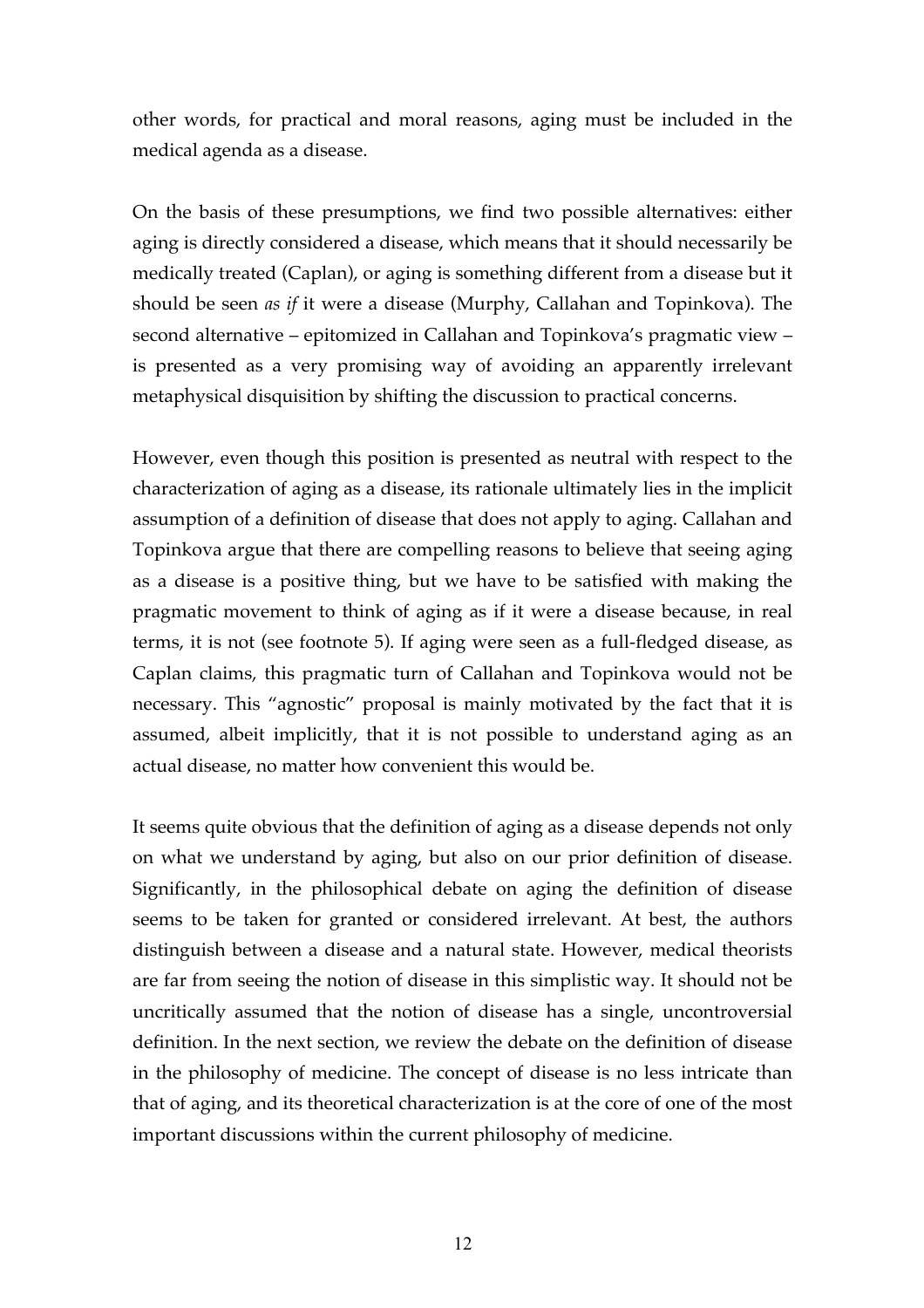other words, for practical and moral reasons, aging must be included in the medical agenda as a disease.

On the basis of these presumptions, we find two possible alternatives: either aging is directly considered a disease, which means that it should necessarily be medically treated (Caplan), or aging is something different from a disease but it should be seen *as if* it were a disease (Murphy, Callahan and Topinkova). The second alternative – epitomized in Callahan and Topinkova's pragmatic view – is presented as a very promising way of avoiding an apparently irrelevant metaphysical disquisition by shifting the discussion to practical concerns.

However, even though this position is presented as neutral with respect to the characterization of aging as a disease, its rationale ultimately lies in the implicit assumption of a definition of disease that does not apply to aging. Callahan and Topinkova argue that there are compelling reasons to believe that seeing aging as a disease is a positive thing, but we have to be satisfied with making the pragmatic movement to think of aging as if it were a disease because, in real terms, it is not (see footnote 5). If aging were seen as a full-fledged disease, as Caplan claims, this pragmatic turn of Callahan and Topinkova would not be necessary. This "agnostic" proposal is mainly motivated by the fact that it is assumed, albeit implicitly, that it is not possible to understand aging as an actual disease, no matter how convenient this would be.

It seems quite obvious that the definition of aging as a disease depends not only on what we understand by aging, but also on our prior definition of disease. Significantly, in the philosophical debate on aging the definition of disease seems to be taken for granted or considered irrelevant. At best, the authors distinguish between a disease and a natural state. However, medical theorists are far from seeing the notion of disease in this simplistic way. It should not be uncritically assumed that the notion of disease has a single, uncontroversial definition. In the next section, we review the debate on the definition of disease in the philosophy of medicine. The concept of disease is no less intricate than that of aging, and its theoretical characterization is at the core of one of the most important discussions within the current philosophy of medicine.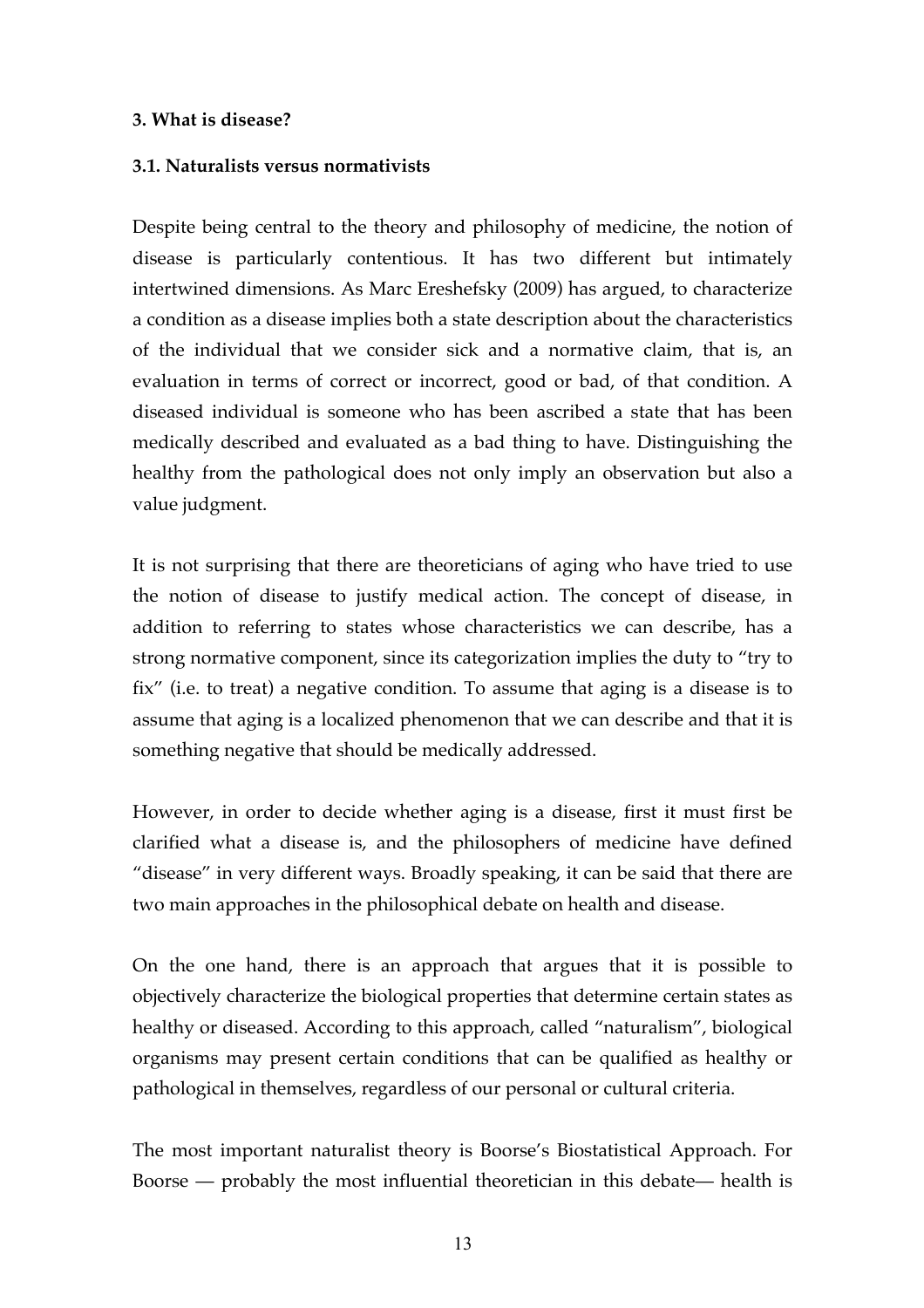## **3. What is disease?**

## **3.1. Naturalists versus normativists**

Despite being central to the theory and philosophy of medicine, the notion of disease is particularly contentious. It has two different but intimately intertwined dimensions. As Marc Ereshefsky (2009) has argued, to characterize a condition as a disease implies both a state description about the characteristics of the individual that we consider sick and a normative claim, that is, an evaluation in terms of correct or incorrect, good or bad, of that condition. A diseased individual is someone who has been ascribed a state that has been medically described and evaluated as a bad thing to have. Distinguishing the healthy from the pathological does not only imply an observation but also a value judgment.

It is not surprising that there are theoreticians of aging who have tried to use the notion of disease to justify medical action. The concept of disease, in addition to referring to states whose characteristics we can describe, has a strong normative component, since its categorization implies the duty to "try to fix" (i.e. to treat) a negative condition. To assume that aging is a disease is to assume that aging is a localized phenomenon that we can describe and that it is something negative that should be medically addressed.

However, in order to decide whether aging is a disease, first it must first be clarified what a disease is, and the philosophers of medicine have defined "disease" in very different ways. Broadly speaking, it can be said that there are two main approaches in the philosophical debate on health and disease.

On the one hand, there is an approach that argues that it is possible to objectively characterize the biological properties that determine certain states as healthy or diseased. According to this approach, called "naturalism", biological organisms may present certain conditions that can be qualified as healthy or pathological in themselves, regardless of our personal or cultural criteria.

The most important naturalist theory is Boorse's Biostatistical Approach. For Boorse — probably the most influential theoretician in this debate— health is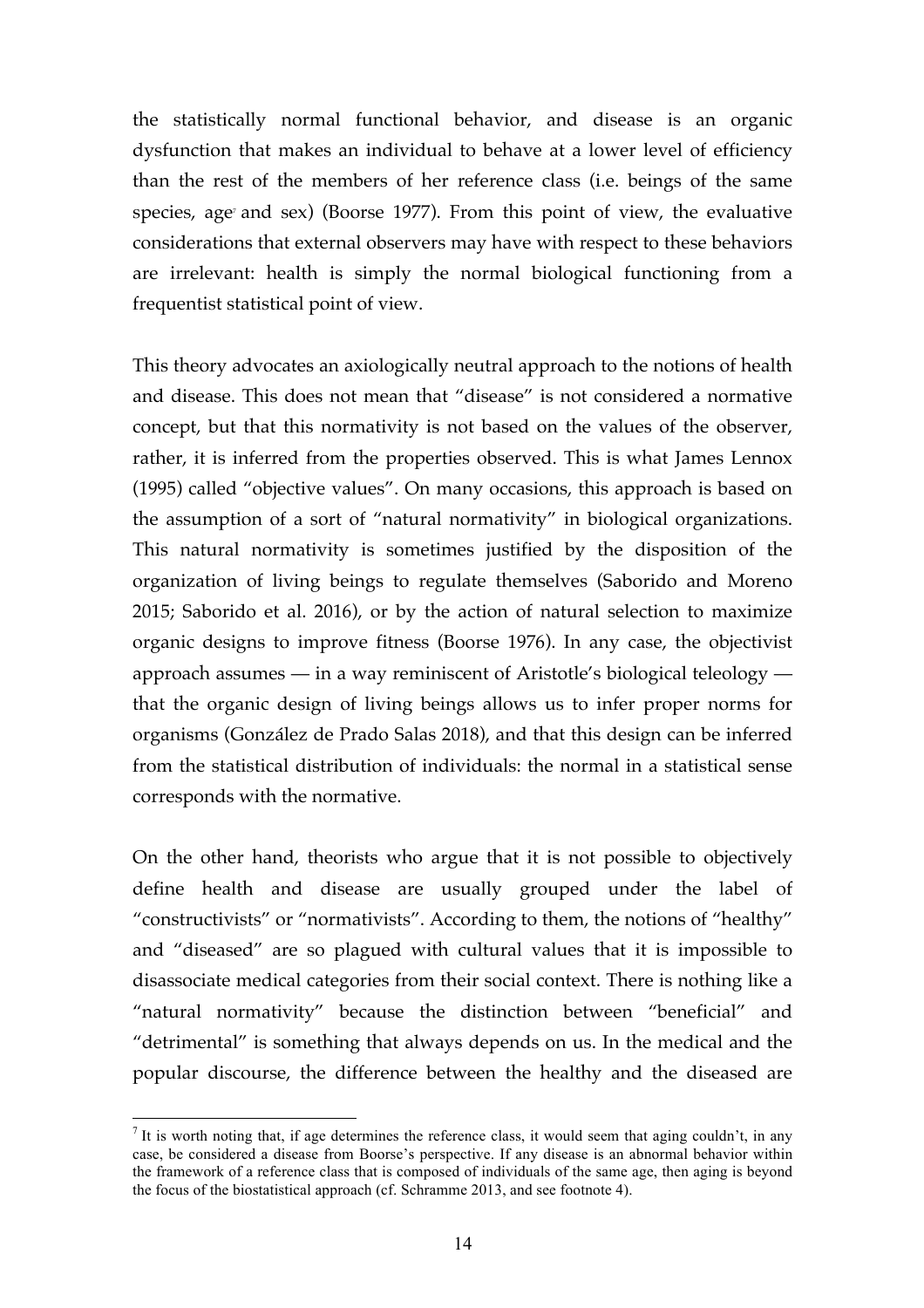the statistically normal functional behavior, and disease is an organic dysfunction that makes an individual to behave at a lower level of efficiency than the rest of the members of her reference class (i.e. beings of the same species, age<sup> $r$ </sup> and sex) (Boorse 1977). From this point of view, the evaluative considerations that external observers may have with respect to these behaviors are irrelevant: health is simply the normal biological functioning from a frequentist statistical point of view.

This theory advocates an axiologically neutral approach to the notions of health and disease. This does not mean that "disease" is not considered a normative concept, but that this normativity is not based on the values of the observer, rather, it is inferred from the properties observed. This is what James Lennox (1995) called "objective values". On many occasions, this approach is based on the assumption of a sort of "natural normativity" in biological organizations. This natural normativity is sometimes justified by the disposition of the organization of living beings to regulate themselves (Saborido and Moreno 2015; Saborido et al. 2016), or by the action of natural selection to maximize organic designs to improve fitness (Boorse 1976). In any case, the objectivist approach assumes — in a way reminiscent of Aristotle's biological teleology that the organic design of living beings allows us to infer proper norms for organisms (González de Prado Salas 2018), and that this design can be inferred from the statistical distribution of individuals: the normal in a statistical sense corresponds with the normative.

On the other hand, theorists who argue that it is not possible to objectively define health and disease are usually grouped under the label of "constructivists" or "normativists". According to them, the notions of "healthy" and "diseased" are so plagued with cultural values that it is impossible to disassociate medical categories from their social context. There is nothing like a "natural normativity" because the distinction between "beneficial" and "detrimental" is something that always depends on us. In the medical and the popular discourse, the difference between the healthy and the diseased are

 $<sup>7</sup>$  It is worth noting that, if age determines the reference class, it would seem that aging couldn't, in any</sup> case, be considered a disease from Boorse's perspective. If any disease is an abnormal behavior within the framework of a reference class that is composed of individuals of the same age, then aging is beyond the focus of the biostatistical approach (cf. Schramme 2013, and see footnote 4).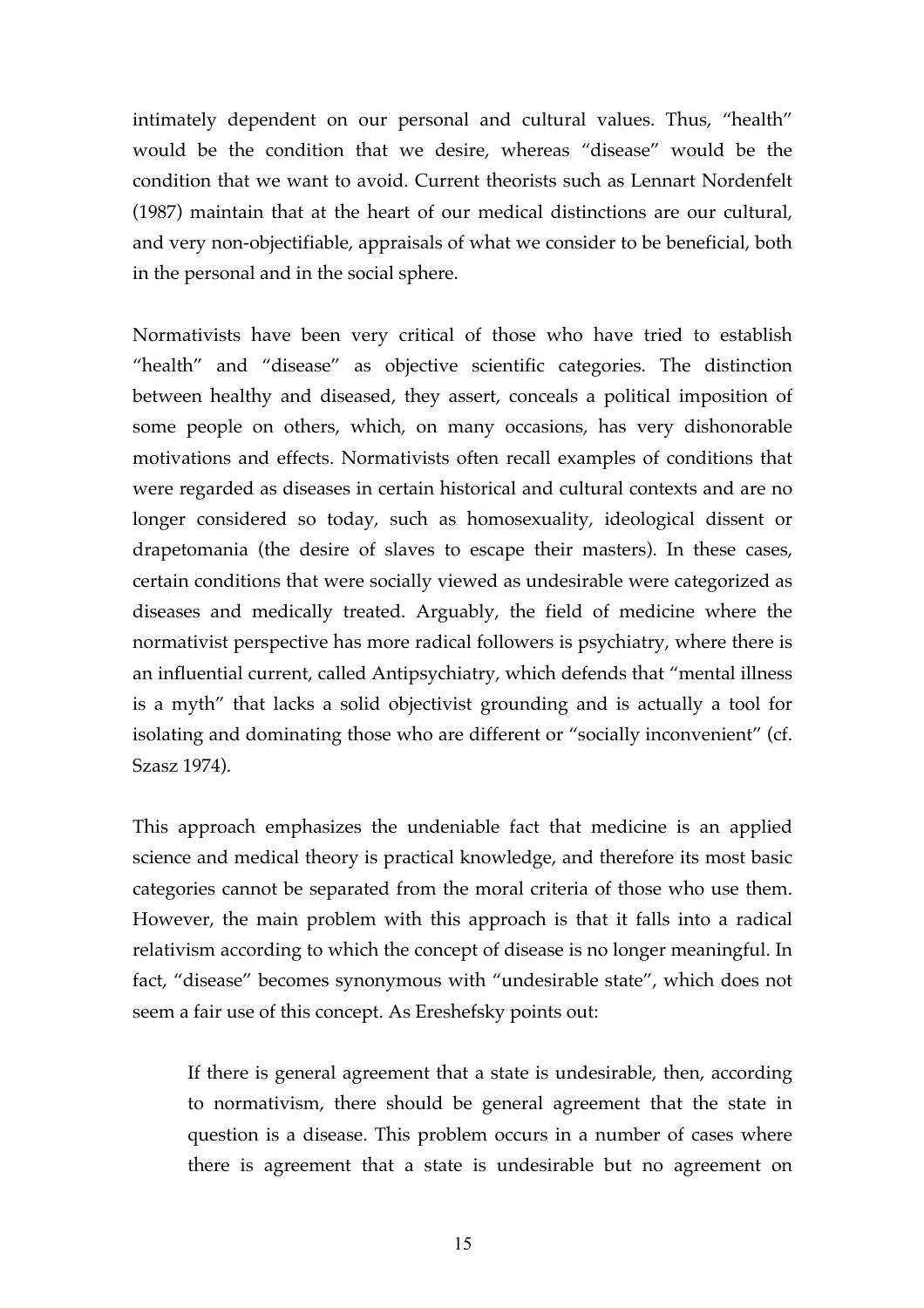intimately dependent on our personal and cultural values. Thus, "health" would be the condition that we desire, whereas "disease" would be the condition that we want to avoid. Current theorists such as Lennart Nordenfelt (1987) maintain that at the heart of our medical distinctions are our cultural, and very non-objectifiable, appraisals of what we consider to be beneficial, both in the personal and in the social sphere.

Normativists have been very critical of those who have tried to establish "health" and "disease" as objective scientific categories. The distinction between healthy and diseased, they assert, conceals a political imposition of some people on others, which, on many occasions, has very dishonorable motivations and effects. Normativists often recall examples of conditions that were regarded as diseases in certain historical and cultural contexts and are no longer considered so today, such as homosexuality, ideological dissent or drapetomania (the desire of slaves to escape their masters). In these cases, certain conditions that were socially viewed as undesirable were categorized as diseases and medically treated. Arguably, the field of medicine where the normativist perspective has more radical followers is psychiatry, where there is an influential current, called Antipsychiatry, which defends that "mental illness is a myth" that lacks a solid objectivist grounding and is actually a tool for isolating and dominating those who are different or "socially inconvenient" (cf. Szasz 1974).

This approach emphasizes the undeniable fact that medicine is an applied science and medical theory is practical knowledge, and therefore its most basic categories cannot be separated from the moral criteria of those who use them. However, the main problem with this approach is that it falls into a radical relativism according to which the concept of disease is no longer meaningful. In fact, "disease" becomes synonymous with "undesirable state", which does not seem a fair use of this concept. As Ereshefsky points out:

If there is general agreement that a state is undesirable, then, according to normativism, there should be general agreement that the state in question is a disease. This problem occurs in a number of cases where there is agreement that a state is undesirable but no agreement on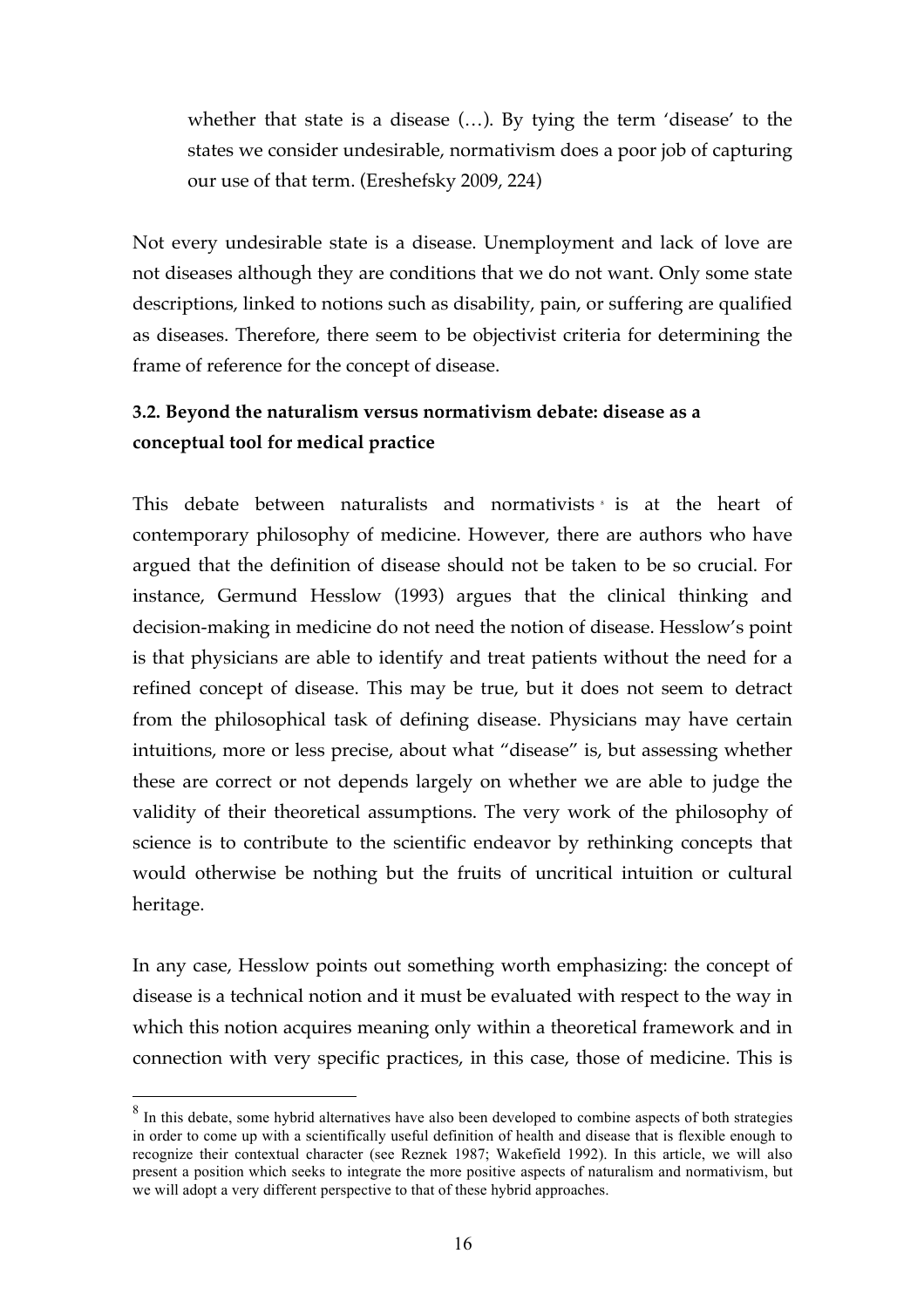whether that state is a disease (…). By tying the term 'disease' to the states we consider undesirable, normativism does a poor job of capturing our use of that term. (Ereshefsky 2009, 224)

Not every undesirable state is a disease. Unemployment and lack of love are not diseases although they are conditions that we do not want. Only some state descriptions, linked to notions such as disability, pain, or suffering are qualified as diseases. Therefore, there seem to be objectivist criteria for determining the frame of reference for the concept of disease.

# **3.2. Beyond the naturalism versus normativism debate: disease as a conceptual tool for medical practice**

This debate between naturalists and normativists is at the heart of contemporary philosophy of medicine. However, there are authors who have argued that the definition of disease should not be taken to be so crucial. For instance, Germund Hesslow (1993) argues that the clinical thinking and decision-making in medicine do not need the notion of disease. Hesslow's point is that physicians are able to identify and treat patients without the need for a refined concept of disease. This may be true, but it does not seem to detract from the philosophical task of defining disease. Physicians may have certain intuitions, more or less precise, about what "disease" is, but assessing whether these are correct or not depends largely on whether we are able to judge the validity of their theoretical assumptions. The very work of the philosophy of science is to contribute to the scientific endeavor by rethinking concepts that would otherwise be nothing but the fruits of uncritical intuition or cultural heritage.

In any case, Hesslow points out something worth emphasizing: the concept of disease is a technical notion and it must be evaluated with respect to the way in which this notion acquires meaning only within a theoretical framework and in connection with very specific practices, in this case, those of medicine. This is

<sup>&</sup>lt;sup>8</sup> In this debate, some hybrid alternatives have also been developed to combine aspects of both strategies in order to come up with a scientifically useful definition of health and disease that is flexible enough to recognize their contextual character (see Reznek 1987; Wakefield 1992). In this article, we will also present a position which seeks to integrate the more positive aspects of naturalism and normativism, but we will adopt a very different perspective to that of these hybrid approaches.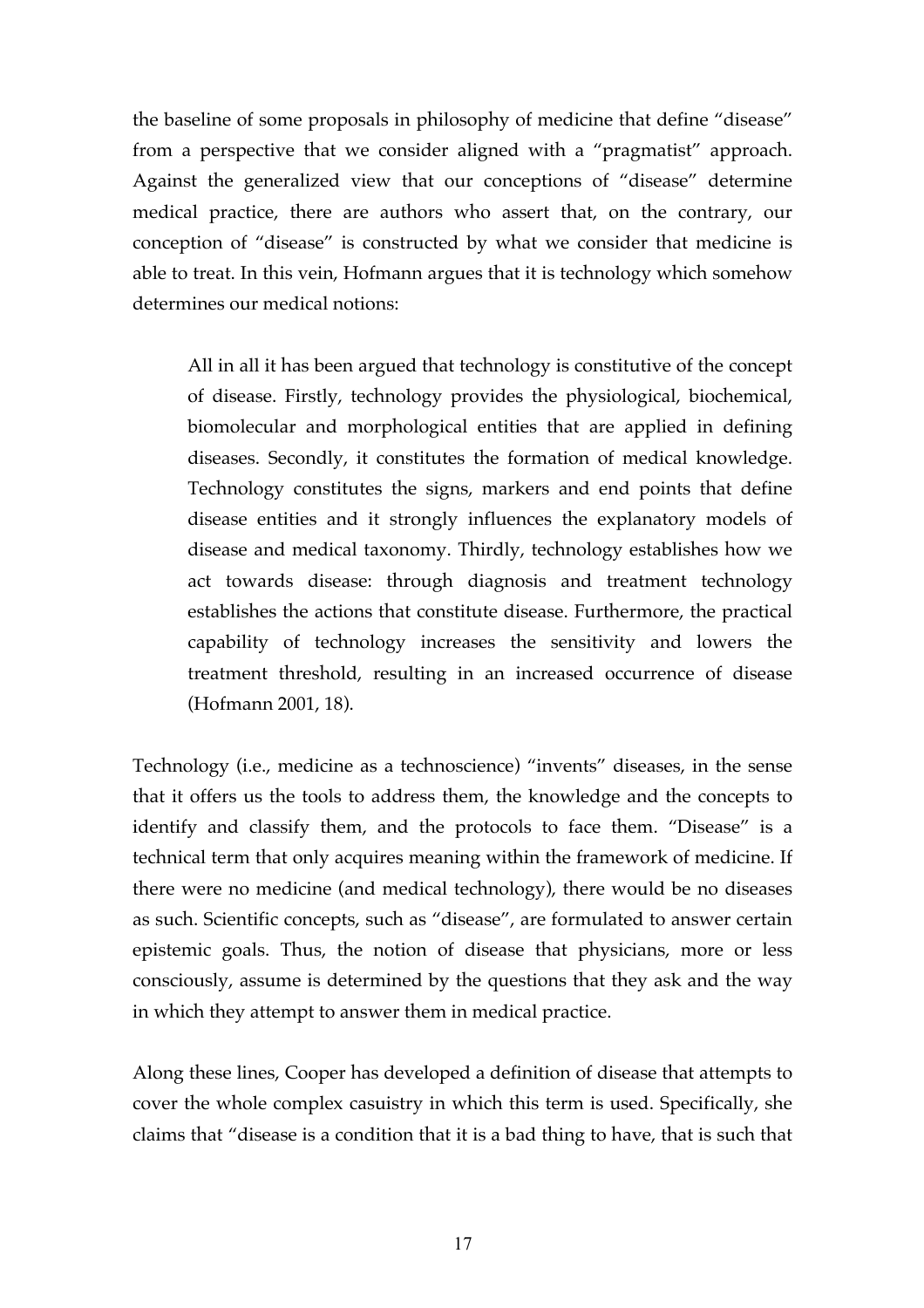the baseline of some proposals in philosophy of medicine that define "disease" from a perspective that we consider aligned with a "pragmatist" approach. Against the generalized view that our conceptions of "disease" determine medical practice, there are authors who assert that, on the contrary, our conception of "disease" is constructed by what we consider that medicine is able to treat. In this vein, Hofmann argues that it is technology which somehow determines our medical notions:

All in all it has been argued that technology is constitutive of the concept of disease. Firstly, technology provides the physiological, biochemical, biomolecular and morphological entities that are applied in defining diseases. Secondly, it constitutes the formation of medical knowledge. Technology constitutes the signs, markers and end points that define disease entities and it strongly influences the explanatory models of disease and medical taxonomy. Thirdly, technology establishes how we act towards disease: through diagnosis and treatment technology establishes the actions that constitute disease. Furthermore, the practical capability of technology increases the sensitivity and lowers the treatment threshold, resulting in an increased occurrence of disease (Hofmann 2001, 18).

Technology (i.e., medicine as a technoscience) "invents" diseases, in the sense that it offers us the tools to address them, the knowledge and the concepts to identify and classify them, and the protocols to face them. "Disease" is a technical term that only acquires meaning within the framework of medicine. If there were no medicine (and medical technology), there would be no diseases as such. Scientific concepts, such as "disease", are formulated to answer certain epistemic goals. Thus, the notion of disease that physicians, more or less consciously, assume is determined by the questions that they ask and the way in which they attempt to answer them in medical practice.

Along these lines, Cooper has developed a definition of disease that attempts to cover the whole complex casuistry in which this term is used. Specifically, she claims that "disease is a condition that it is a bad thing to have, that is such that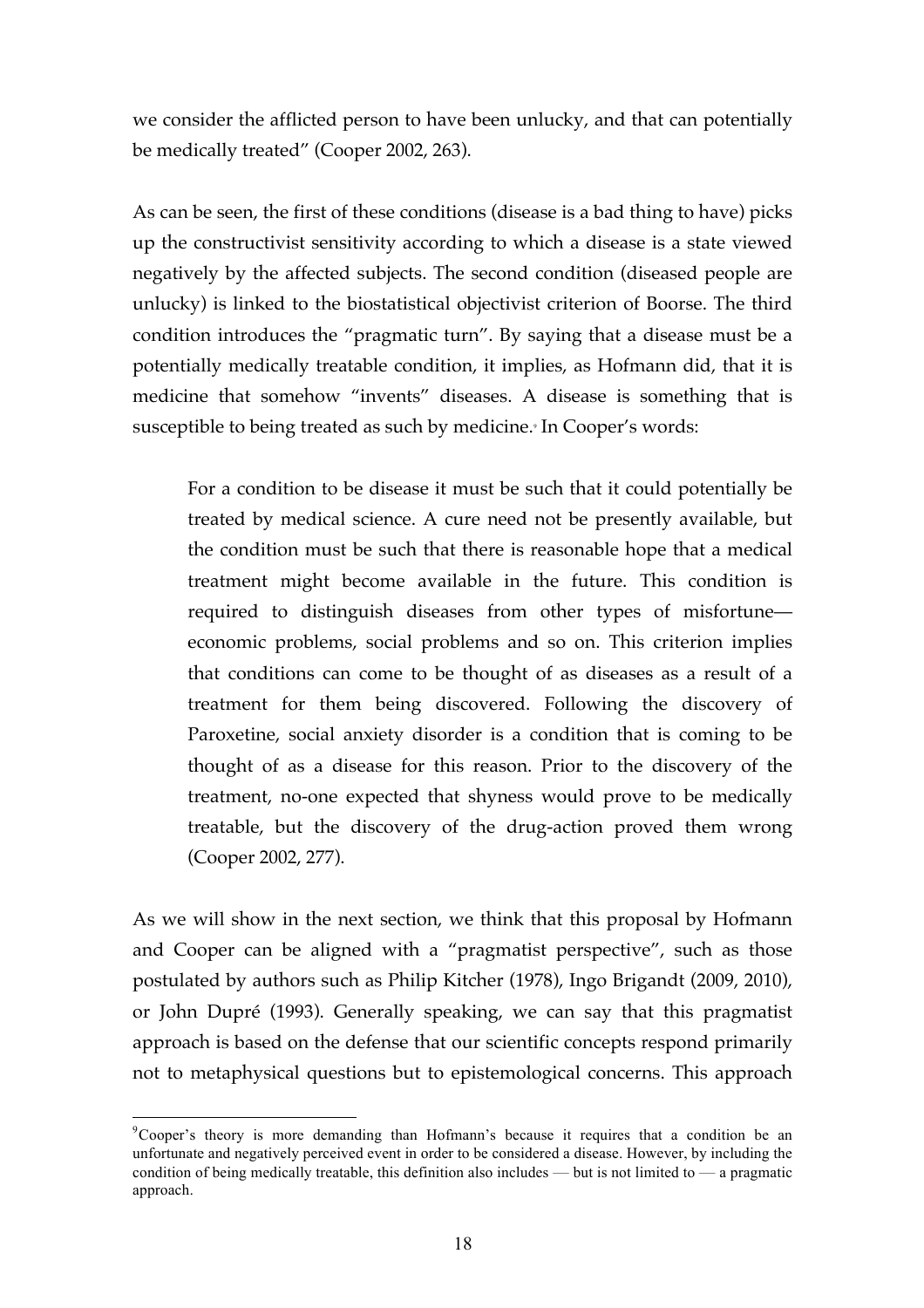we consider the afflicted person to have been unlucky, and that can potentially be medically treated" (Cooper 2002, 263).

As can be seen, the first of these conditions (disease is a bad thing to have) picks up the constructivist sensitivity according to which a disease is a state viewed negatively by the affected subjects. The second condition (diseased people are unlucky) is linked to the biostatistical objectivist criterion of Boorse. The third condition introduces the "pragmatic turn". By saying that a disease must be a potentially medically treatable condition, it implies, as Hofmann did, that it is medicine that somehow "invents" diseases. A disease is something that is susceptible to being treated as such by medicine. <sup>9</sup> In Cooper's words:

For a condition to be disease it must be such that it could potentially be treated by medical science. A cure need not be presently available, but the condition must be such that there is reasonable hope that a medical treatment might become available in the future. This condition is required to distinguish diseases from other types of misfortune economic problems, social problems and so on. This criterion implies that conditions can come to be thought of as diseases as a result of a treatment for them being discovered. Following the discovery of Paroxetine, social anxiety disorder is a condition that is coming to be thought of as a disease for this reason. Prior to the discovery of the treatment, no-one expected that shyness would prove to be medically treatable, but the discovery of the drug-action proved them wrong (Cooper 2002, 277).

As we will show in the next section, we think that this proposal by Hofmann and Cooper can be aligned with a "pragmatist perspective", such as those postulated by authors such as Philip Kitcher (1978), Ingo Brigandt (2009, 2010), or John Dupré (1993). Generally speaking, we can say that this pragmatist approach is based on the defense that our scientific concepts respond primarily not to metaphysical questions but to epistemological concerns. This approach

<sup>-&</sup>lt;br>9 <sup>9</sup>Cooper's theory is more demanding than Hofmann's because it requires that a condition be an unfortunate and negatively perceived event in order to be considered a disease. However, by including the condition of being medically treatable, this definition also includes — but is not limited to — a pragmatic approach.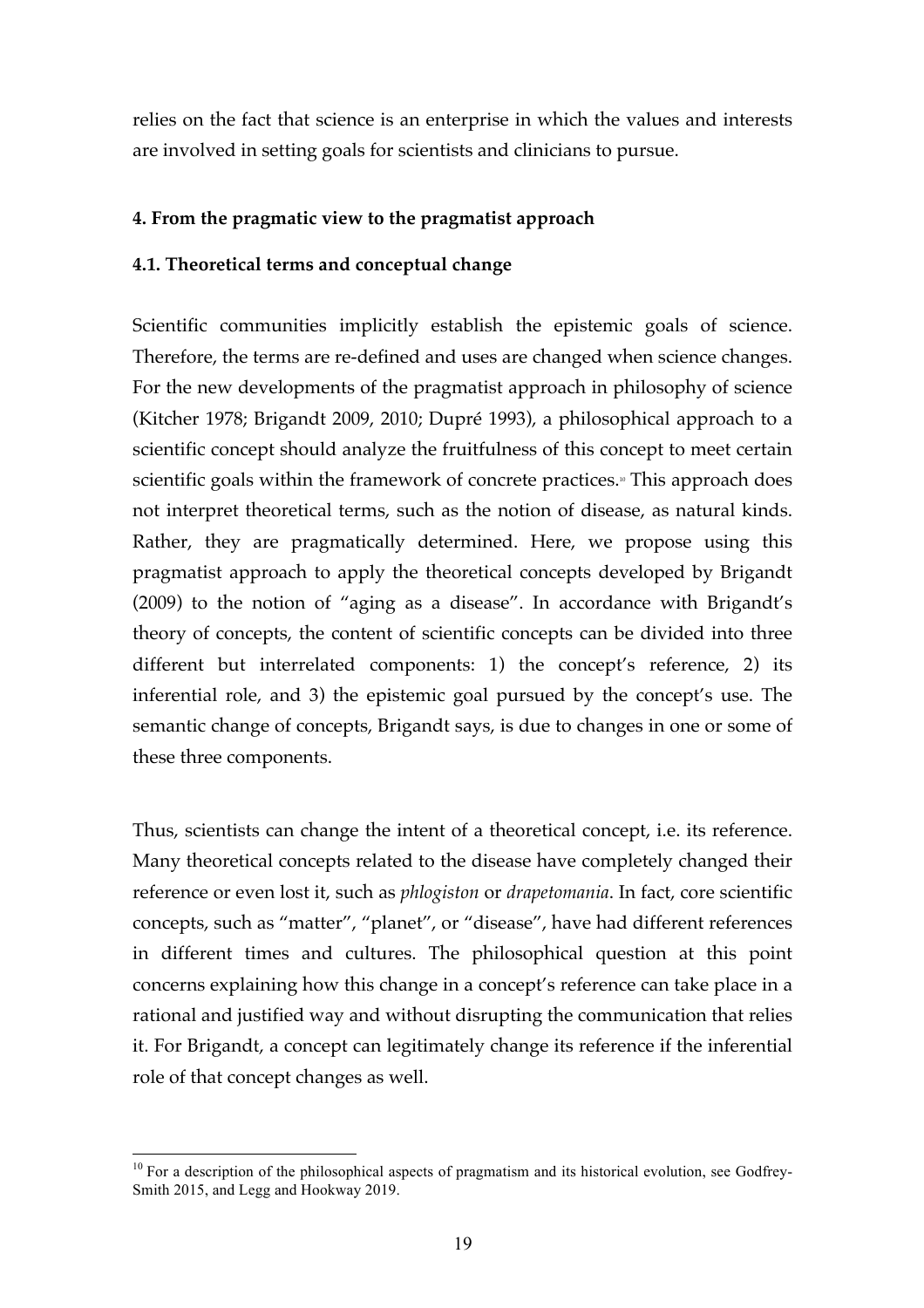relies on the fact that science is an enterprise in which the values and interests are involved in setting goals for scientists and clinicians to pursue.

# **4. From the pragmatic view to the pragmatist approach**

# **4.1. Theoretical terms and conceptual change**

Scientific communities implicitly establish the epistemic goals of science. Therefore, the terms are re-defined and uses are changed when science changes. For the new developments of the pragmatist approach in philosophy of science (Kitcher 1978; Brigandt 2009, 2010; Dupré 1993), a philosophical approach to a scientific concept should analyze the fruitfulness of this concept to meet certain scientific goals within the framework of concrete practices.<sub>"</sub> This approach does not interpret theoretical terms, such as the notion of disease, as natural kinds. Rather, they are pragmatically determined. Here, we propose using this pragmatist approach to apply the theoretical concepts developed by Brigandt (2009) to the notion of "aging as a disease". In accordance with Brigandt's theory of concepts, the content of scientific concepts can be divided into three different but interrelated components: 1) the concept's reference, 2) its inferential role, and 3) the epistemic goal pursued by the concept's use. The semantic change of concepts, Brigandt says, is due to changes in one or some of these three components.

Thus, scientists can change the intent of a theoretical concept, i.e. its reference. Many theoretical concepts related to the disease have completely changed their reference or even lost it, such as *phlogiston* or *drapetomania*. In fact, core scientific concepts, such as "matter", "planet", or "disease", have had different references in different times and cultures. The philosophical question at this point concerns explaining how this change in a concept's reference can take place in a rational and justified way and without disrupting the communication that relies it. For Brigandt, a concept can legitimately change its reference if the inferential role of that concept changes as well.

<sup>&</sup>lt;sup>10</sup> For a description of the philosophical aspects of pragmatism and its historical evolution, see Godfrey-Smith 2015, and Legg and Hookway 2019.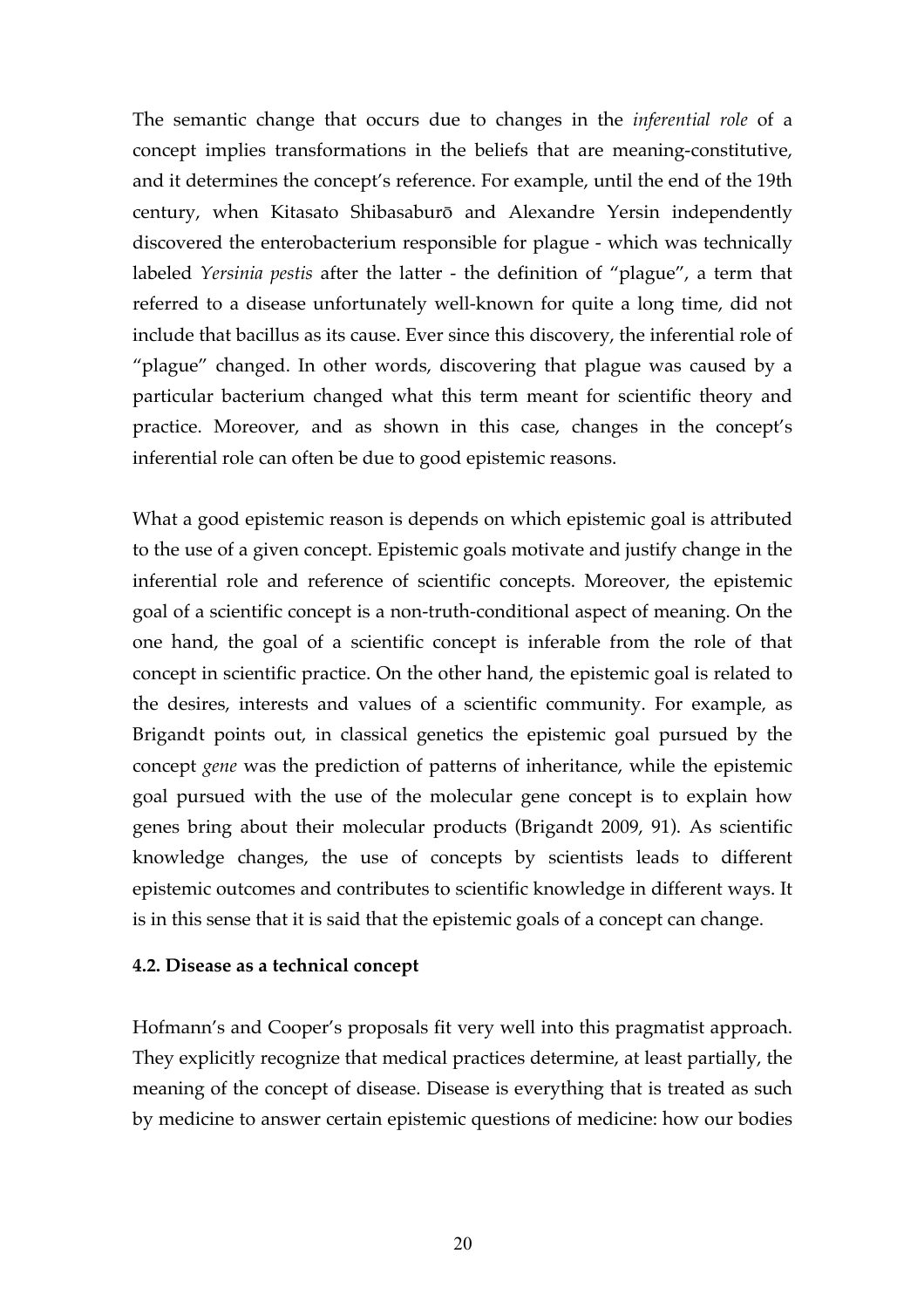The semantic change that occurs due to changes in the *inferential role* of a concept implies transformations in the beliefs that are meaning-constitutive, and it determines the concept's reference. For example, until the end of the 19th century, when Kitasato Shibasaburō and Alexandre Yersin independently discovered the enterobacterium responsible for plague - which was technically labeled *Yersinia pestis* after the latter - the definition of "plague", a term that referred to a disease unfortunately well-known for quite a long time, did not include that bacillus as its cause. Ever since this discovery, the inferential role of "plague" changed. In other words, discovering that plague was caused by a particular bacterium changed what this term meant for scientific theory and practice. Moreover, and as shown in this case, changes in the concept's inferential role can often be due to good epistemic reasons.

What a good epistemic reason is depends on which epistemic goal is attributed to the use of a given concept. Epistemic goals motivate and justify change in the inferential role and reference of scientific concepts. Moreover, the epistemic goal of a scientific concept is a non-truth-conditional aspect of meaning. On the one hand, the goal of a scientific concept is inferable from the role of that concept in scientific practice. On the other hand, the epistemic goal is related to the desires, interests and values of a scientific community. For example, as Brigandt points out, in classical genetics the epistemic goal pursued by the concept *gene* was the prediction of patterns of inheritance, while the epistemic goal pursued with the use of the molecular gene concept is to explain how genes bring about their molecular products (Brigandt 2009, 91). As scientific knowledge changes, the use of concepts by scientists leads to different epistemic outcomes and contributes to scientific knowledge in different ways. It is in this sense that it is said that the epistemic goals of a concept can change.

### **4.2. Disease as a technical concept**

Hofmann's and Cooper's proposals fit very well into this pragmatist approach. They explicitly recognize that medical practices determine, at least partially, the meaning of the concept of disease. Disease is everything that is treated as such by medicine to answer certain epistemic questions of medicine: how our bodies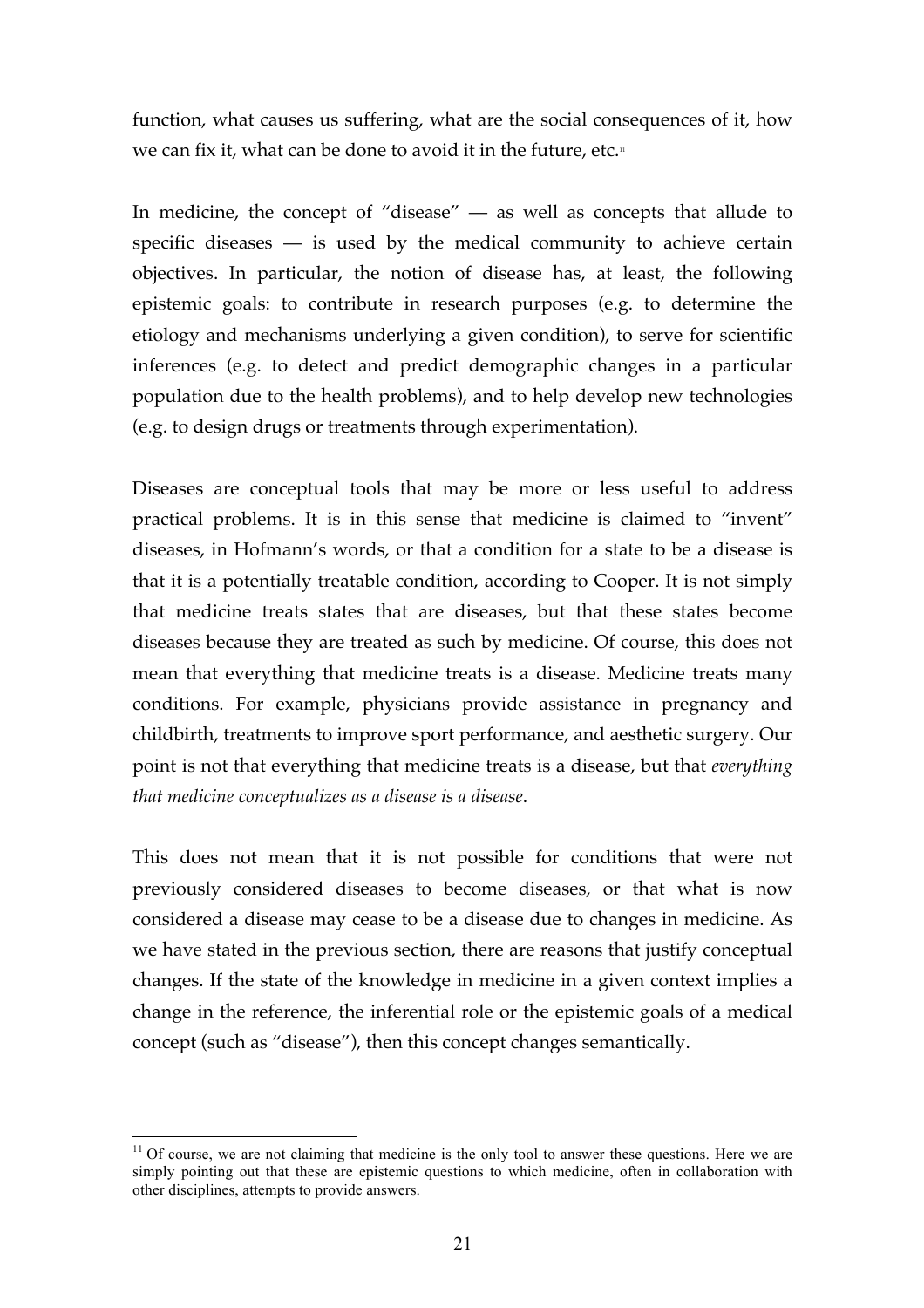function, what causes us suffering, what are the social consequences of it, how we can fix it, what can be done to avoid it in the future, etc.<sub>"</sub>

In medicine, the concept of "disease" — as well as concepts that allude to specific diseases  $-$  is used by the medical community to achieve certain objectives. In particular, the notion of disease has, at least, the following epistemic goals: to contribute in research purposes (e.g. to determine the etiology and mechanisms underlying a given condition), to serve for scientific inferences (e.g. to detect and predict demographic changes in a particular population due to the health problems), and to help develop new technologies (e.g. to design drugs or treatments through experimentation).

Diseases are conceptual tools that may be more or less useful to address practical problems. It is in this sense that medicine is claimed to "invent" diseases, in Hofmann's words, or that a condition for a state to be a disease is that it is a potentially treatable condition, according to Cooper. It is not simply that medicine treats states that are diseases, but that these states become diseases because they are treated as such by medicine. Of course, this does not mean that everything that medicine treats is a disease. Medicine treats many conditions. For example, physicians provide assistance in pregnancy and childbirth, treatments to improve sport performance, and aesthetic surgery. Our point is not that everything that medicine treats is a disease, but that *everything that medicine conceptualizes as a disease is a disease*.

This does not mean that it is not possible for conditions that were not previously considered diseases to become diseases, or that what is now considered a disease may cease to be a disease due to changes in medicine. As we have stated in the previous section, there are reasons that justify conceptual changes. If the state of the knowledge in medicine in a given context implies a change in the reference, the inferential role or the epistemic goals of a medical concept (such as "disease"), then this concept changes semantically.

 $11$  Of course, we are not claiming that medicine is the only tool to answer these questions. Here we are simply pointing out that these are epistemic questions to which medicine, often in collaboration with other disciplines, attempts to provide answers.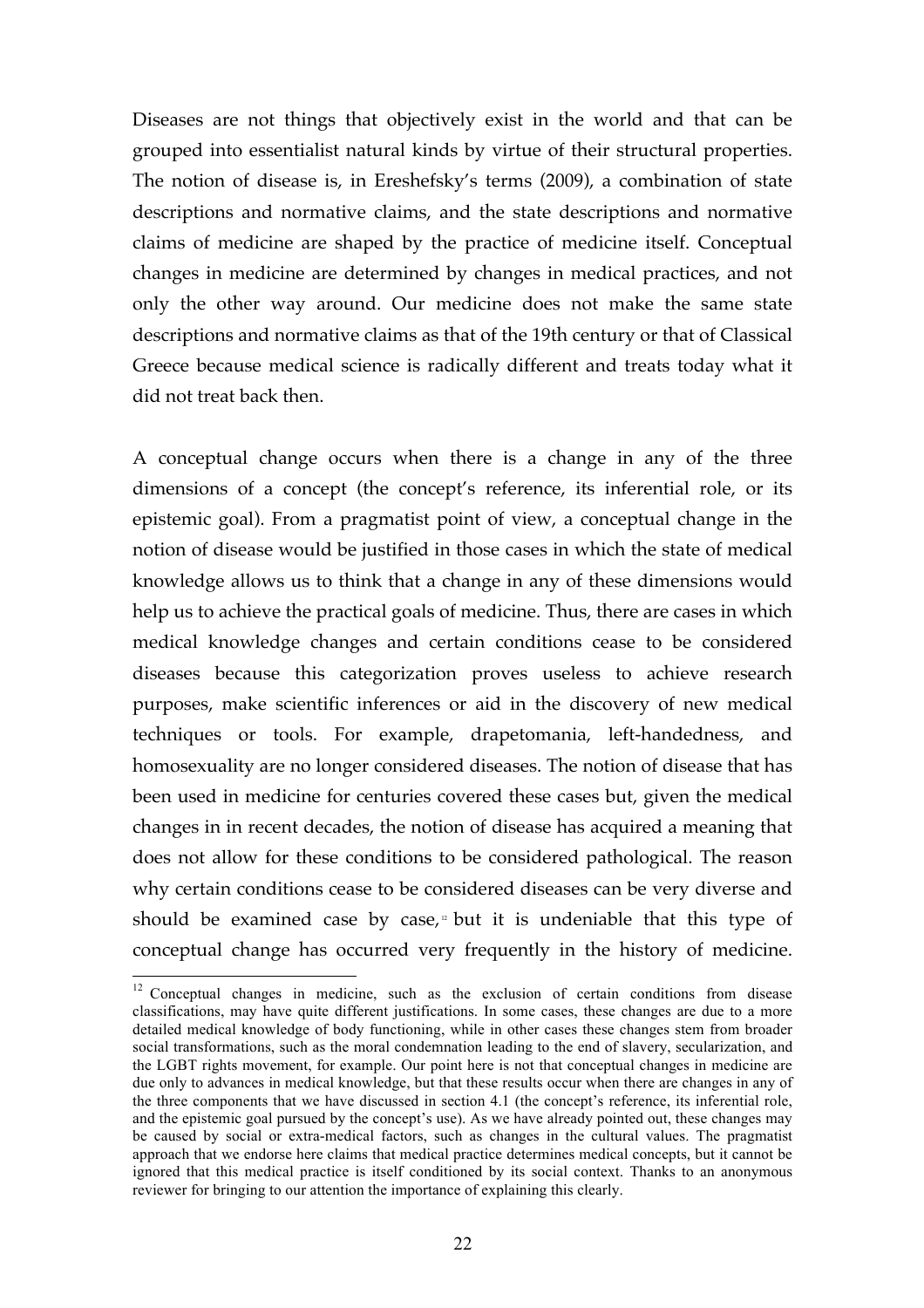Diseases are not things that objectively exist in the world and that can be grouped into essentialist natural kinds by virtue of their structural properties. The notion of disease is, in Ereshefsky's terms (2009), a combination of state descriptions and normative claims, and the state descriptions and normative claims of medicine are shaped by the practice of medicine itself. Conceptual changes in medicine are determined by changes in medical practices, and not only the other way around. Our medicine does not make the same state descriptions and normative claims as that of the 19th century or that of Classical Greece because medical science is radically different and treats today what it did not treat back then.

A conceptual change occurs when there is a change in any of the three dimensions of a concept (the concept's reference, its inferential role, or its epistemic goal). From a pragmatist point of view, a conceptual change in the notion of disease would be justified in those cases in which the state of medical knowledge allows us to think that a change in any of these dimensions would help us to achieve the practical goals of medicine. Thus, there are cases in which medical knowledge changes and certain conditions cease to be considered diseases because this categorization proves useless to achieve research purposes, make scientific inferences or aid in the discovery of new medical techniques or tools. For example, drapetomania, left-handedness, and homosexuality are no longer considered diseases. The notion of disease that has been used in medicine for centuries covered these cases but, given the medical changes in in recent decades, the notion of disease has acquired a meaning that does not allow for these conditions to be considered pathological. The reason why certain conditions cease to be considered diseases can be very diverse and should be examined case by case, $\mu$  but it is undeniable that this type of conceptual change has occurred very frequently in the history of medicine.

<sup>&</sup>lt;sup>12</sup> Conceptual changes in medicine, such as the exclusion of certain conditions from disease classifications, may have quite different justifications. In some cases, these changes are due to a more detailed medical knowledge of body functioning, while in other cases these changes stem from broader social transformations, such as the moral condemnation leading to the end of slavery, secularization, and the LGBT rights movement, for example. Our point here is not that conceptual changes in medicine are due only to advances in medical knowledge, but that these results occur when there are changes in any of the three components that we have discussed in section 4.1 (the concept's reference, its inferential role, and the epistemic goal pursued by the concept's use). As we have already pointed out, these changes may be caused by social or extra-medical factors, such as changes in the cultural values. The pragmatist approach that we endorse here claims that medical practice determines medical concepts, but it cannot be ignored that this medical practice is itself conditioned by its social context. Thanks to an anonymous reviewer for bringing to our attention the importance of explaining this clearly.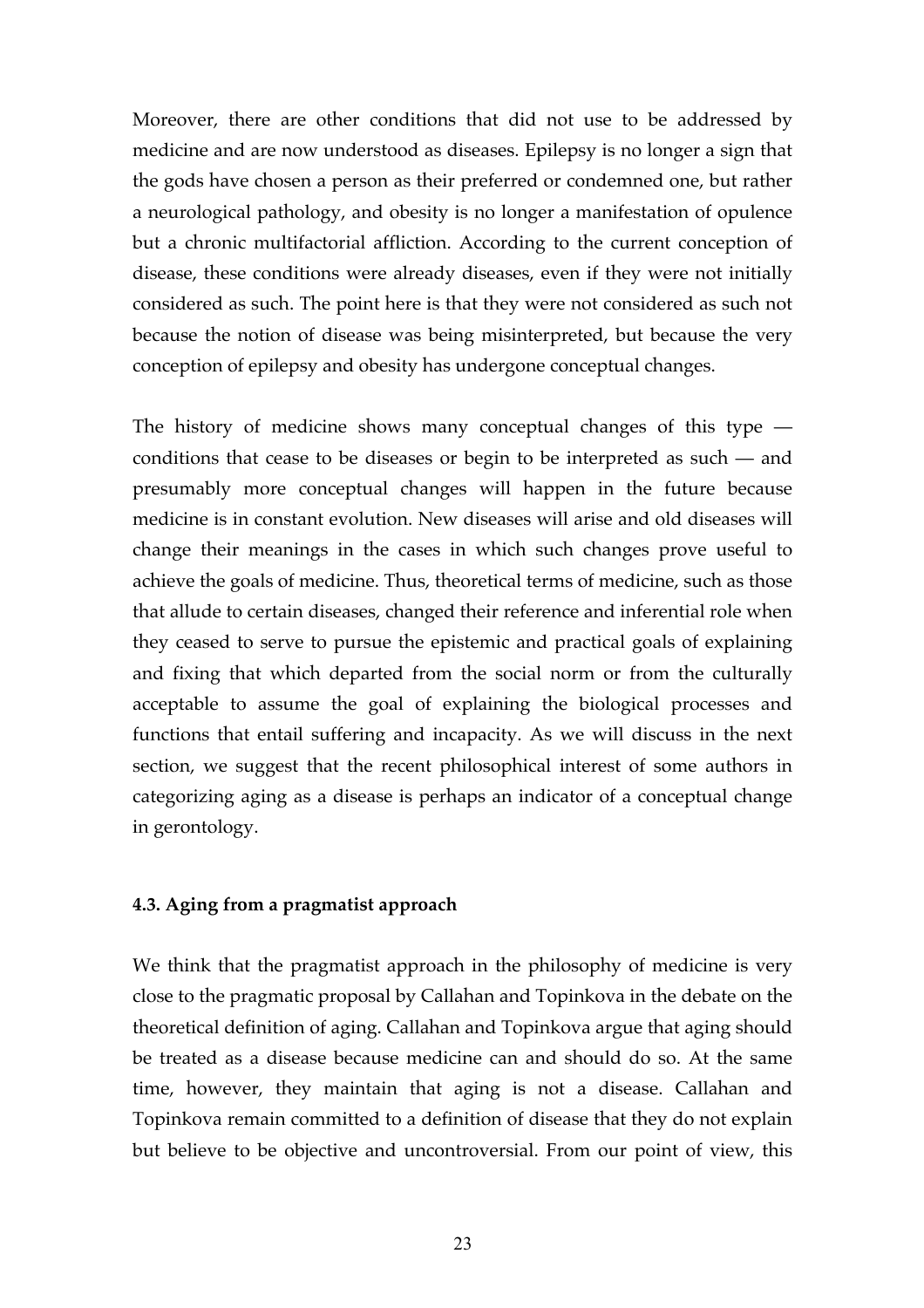Moreover, there are other conditions that did not use to be addressed by medicine and are now understood as diseases. Epilepsy is no longer a sign that the gods have chosen a person as their preferred or condemned one, but rather a neurological pathology, and obesity is no longer a manifestation of opulence but a chronic multifactorial affliction. According to the current conception of disease, these conditions were already diseases, even if they were not initially considered as such. The point here is that they were not considered as such not because the notion of disease was being misinterpreted, but because the very conception of epilepsy and obesity has undergone conceptual changes.

The history of medicine shows many conceptual changes of this type  $$ conditions that cease to be diseases or begin to be interpreted as such — and presumably more conceptual changes will happen in the future because medicine is in constant evolution. New diseases will arise and old diseases will change their meanings in the cases in which such changes prove useful to achieve the goals of medicine. Thus, theoretical terms of medicine, such as those that allude to certain diseases, changed their reference and inferential role when they ceased to serve to pursue the epistemic and practical goals of explaining and fixing that which departed from the social norm or from the culturally acceptable to assume the goal of explaining the biological processes and functions that entail suffering and incapacity. As we will discuss in the next section, we suggest that the recent philosophical interest of some authors in categorizing aging as a disease is perhaps an indicator of a conceptual change in gerontology.

# **4.3. Aging from a pragmatist approach**

We think that the pragmatist approach in the philosophy of medicine is very close to the pragmatic proposal by Callahan and Topinkova in the debate on the theoretical definition of aging. Callahan and Topinkova argue that aging should be treated as a disease because medicine can and should do so. At the same time, however, they maintain that aging is not a disease. Callahan and Topinkova remain committed to a definition of disease that they do not explain but believe to be objective and uncontroversial. From our point of view, this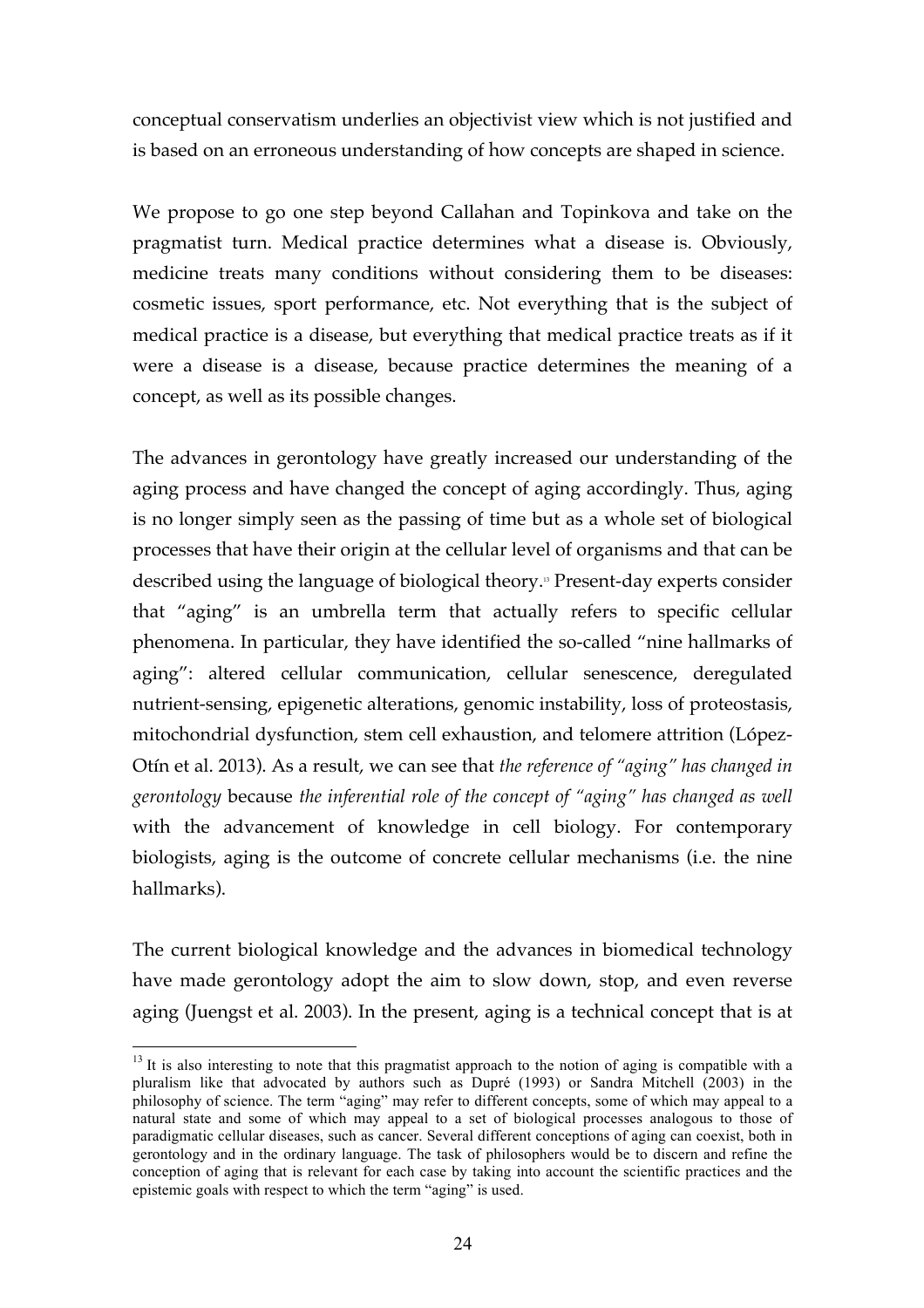conceptual conservatism underlies an objectivist view which is not justified and is based on an erroneous understanding of how concepts are shaped in science.

We propose to go one step beyond Callahan and Topinkova and take on the pragmatist turn. Medical practice determines what a disease is. Obviously, medicine treats many conditions without considering them to be diseases: cosmetic issues, sport performance, etc. Not everything that is the subject of medical practice is a disease, but everything that medical practice treats as if it were a disease is a disease, because practice determines the meaning of a concept, as well as its possible changes.

The advances in gerontology have greatly increased our understanding of the aging process and have changed the concept of aging accordingly. Thus, aging is no longer simply seen as the passing of time but as a whole set of biological processes that have their origin at the cellular level of organisms and that can be described using the language of biological theory. <sup>13</sup> Present-day experts consider that "aging" is an umbrella term that actually refers to specific cellular phenomena. In particular, they have identified the so-called "nine hallmarks of aging": altered cellular communication, cellular senescence, deregulated nutrient-sensing, epigenetic alterations, genomic instability, loss of proteostasis, mitochondrial dysfunction, stem cell exhaustion, and telomere attrition (López-Otín et al. 2013). As a result, we can see that *the reference of "aging" has changed in gerontology* because *the inferential role of the concept of "aging" has changed as well* with the advancement of knowledge in cell biology. For contemporary biologists, aging is the outcome of concrete cellular mechanisms (i.e. the nine hallmarks).

The current biological knowledge and the advances in biomedical technology have made gerontology adopt the aim to slow down, stop, and even reverse aging (Juengst et al. 2003). In the present, aging is a technical concept that is at

<sup>&</sup>lt;sup>13</sup> It is also interesting to note that this pragmatist approach to the notion of aging is compatible with a pluralism like that advocated by authors such as Dupré (1993) or Sandra Mitchell (2003) in the philosophy of science. The term "aging" may refer to different concepts, some of which may appeal to a natural state and some of which may appeal to a set of biological processes analogous to those of paradigmatic cellular diseases, such as cancer. Several different conceptions of aging can coexist, both in gerontology and in the ordinary language. The task of philosophers would be to discern and refine the conception of aging that is relevant for each case by taking into account the scientific practices and the epistemic goals with respect to which the term "aging" is used.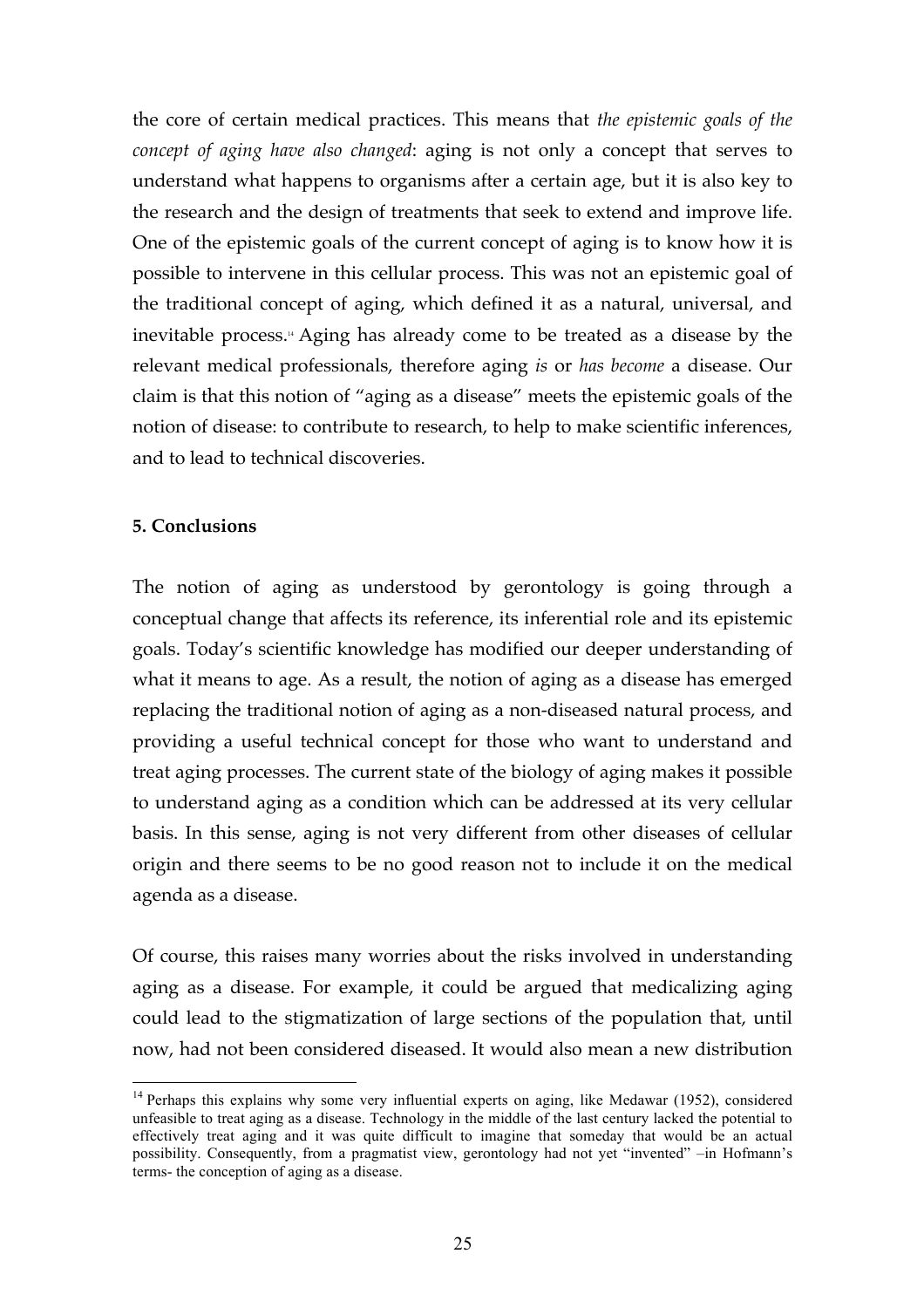the core of certain medical practices. This means that *the epistemic goals of the concept of aging have also changed*: aging is not only a concept that serves to understand what happens to organisms after a certain age, but it is also key to the research and the design of treatments that seek to extend and improve life. One of the epistemic goals of the current concept of aging is to know how it is possible to intervene in this cellular process. This was not an epistemic goal of the traditional concept of aging, which defined it as a natural, universal, and inevitable process. <sup>14</sup> Aging has already come to be treated as a disease by the relevant medical professionals, therefore aging *is* or *has become* a disease. Our claim is that this notion of "aging as a disease" meets the epistemic goals of the notion of disease: to contribute to research, to help to make scientific inferences, and to lead to technical discoveries.

# **5. Conclusions**

The notion of aging as understood by gerontology is going through a conceptual change that affects its reference, its inferential role and its epistemic goals. Today's scientific knowledge has modified our deeper understanding of what it means to age. As a result, the notion of aging as a disease has emerged replacing the traditional notion of aging as a non-diseased natural process, and providing a useful technical concept for those who want to understand and treat aging processes. The current state of the biology of aging makes it possible to understand aging as a condition which can be addressed at its very cellular basis. In this sense, aging is not very different from other diseases of cellular origin and there seems to be no good reason not to include it on the medical agenda as a disease.

Of course, this raises many worries about the risks involved in understanding aging as a disease. For example, it could be argued that medicalizing aging could lead to the stigmatization of large sections of the population that, until now, had not been considered diseased. It would also mean a new distribution

<sup>&</sup>lt;sup>14</sup> Perhaps this explains why some very influential experts on aging, like Medawar (1952), considered unfeasible to treat aging as a disease. Technology in the middle of the last century lacked the potential to effectively treat aging and it was quite difficult to imagine that someday that would be an actual possibility. Consequently, from a pragmatist view, gerontology had not yet "invented" –in Hofmann's terms- the conception of aging as a disease.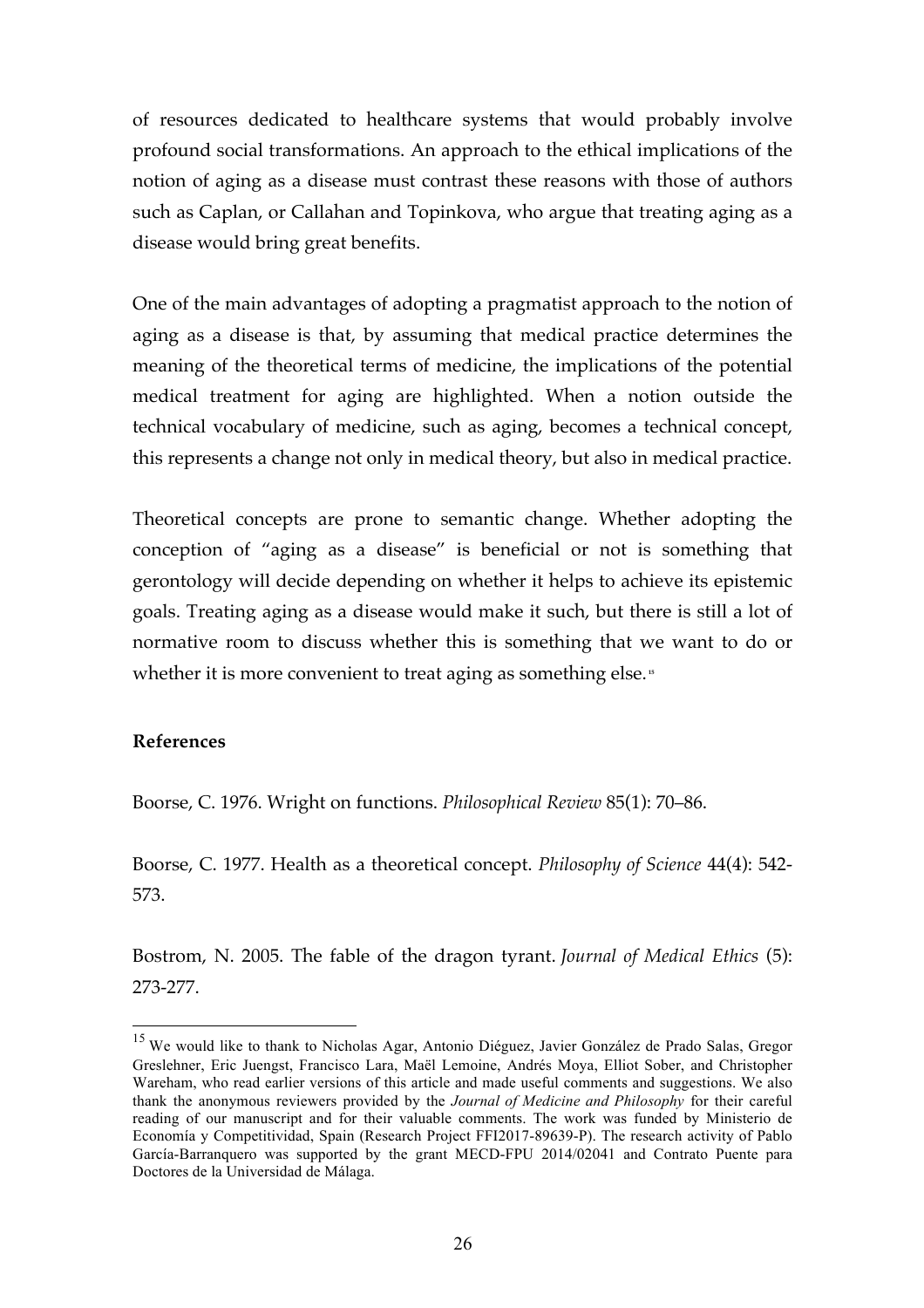of resources dedicated to healthcare systems that would probably involve profound social transformations. An approach to the ethical implications of the notion of aging as a disease must contrast these reasons with those of authors such as Caplan, or Callahan and Topinkova, who argue that treating aging as a disease would bring great benefits.

One of the main advantages of adopting a pragmatist approach to the notion of aging as a disease is that, by assuming that medical practice determines the meaning of the theoretical terms of medicine, the implications of the potential medical treatment for aging are highlighted. When a notion outside the technical vocabulary of medicine, such as aging, becomes a technical concept, this represents a change not only in medical theory, but also in medical practice.

Theoretical concepts are prone to semantic change. Whether adopting the conception of "aging as a disease" is beneficial or not is something that gerontology will decide depending on whether it helps to achieve its epistemic goals. Treating aging as a disease would make it such, but there is still a lot of normative room to discuss whether this is something that we want to do or whether it is more convenient to treat aging as something else.<sup>15</sup>

# **References**

Boorse, C. 1976. Wright on functions. *Philosophical Review* 85(1): 70–86.

Boorse, C. 1977. Health as a theoretical concept. *Philosophy of Science* 44(4): 542- 573.

Bostrom, N. 2005. The fable of the dragon tyrant. *Journal of Medical Ethics* (5): 273-277.

<sup>&</sup>lt;sup>15</sup> We would like to thank to Nicholas Agar, Antonio Diéguez, Javier González de Prado Salas, Gregor Greslehner, Eric Juengst, Francisco Lara, Maël Lemoine, Andrés Moya, Elliot Sober, and Christopher Wareham, who read earlier versions of this article and made useful comments and suggestions. We also thank the anonymous reviewers provided by the *Journal of Medicine and Philosophy* for their careful reading of our manuscript and for their valuable comments. The work was funded by Ministerio de Economía y Competitividad, Spain (Research Project FFI2017-89639-P). The research activity of Pablo García-Barranquero was supported by the grant MECD-FPU 2014/02041 and Contrato Puente para Doctores de la Universidad de Málaga.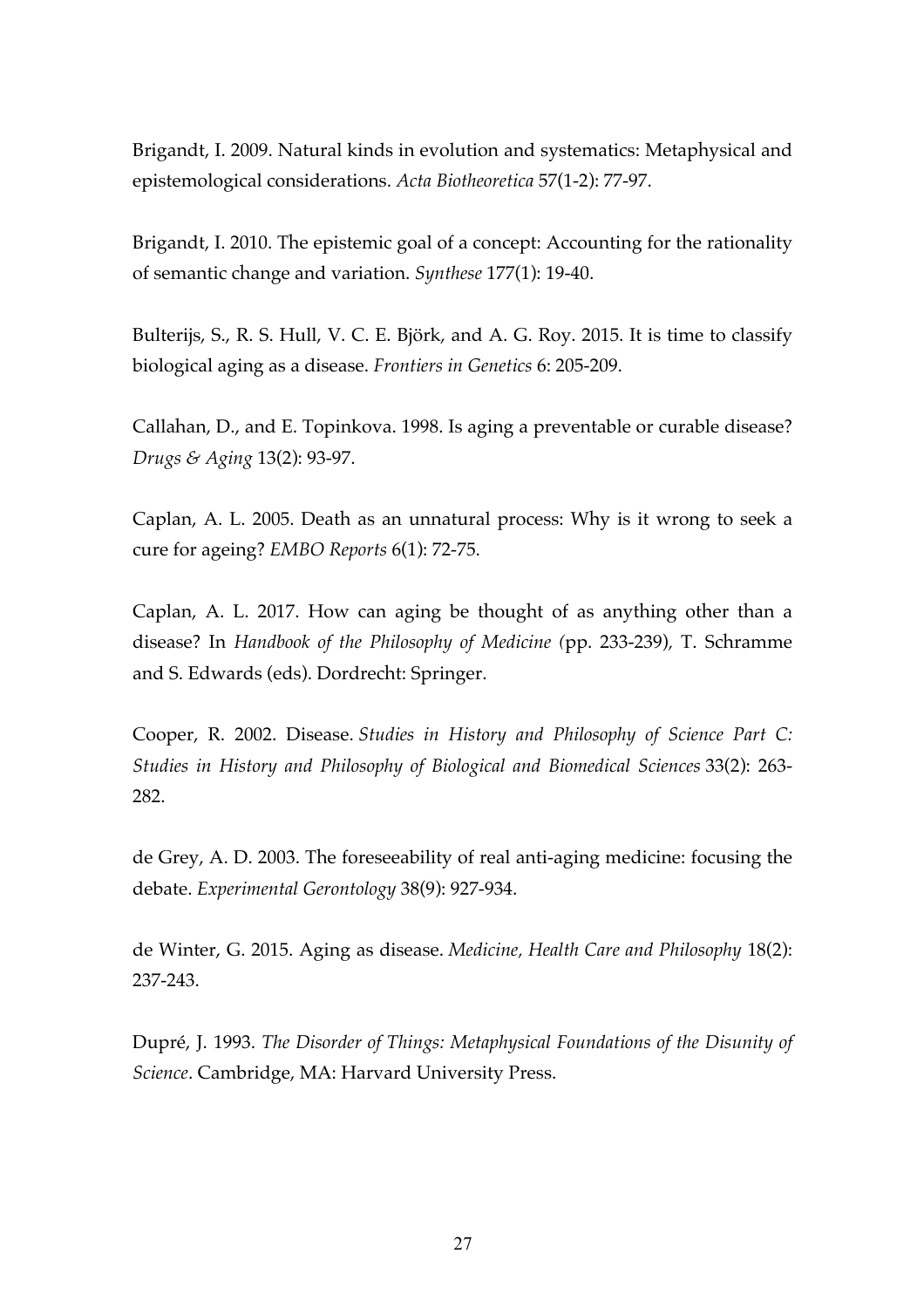Brigandt, I. 2009. Natural kinds in evolution and systematics: Metaphysical and epistemological considerations. *Acta Biotheoretica* 57(1-2): 77-97.

Brigandt, I. 2010. The epistemic goal of a concept: Accounting for the rationality of semantic change and variation. *Synthese* 177(1): 19-40.

Bulterijs, S., R. S. Hull, V. C. E. Björk, and A. G. Roy. 2015. It is time to classify biological aging as a disease. *Frontiers in Genetics* 6: 205-209.

Callahan, D., and E. Topinkova. 1998. Is aging a preventable or curable disease? *Drugs & Aging* 13(2): 93-97.

Caplan, A. L. 2005. Death as an unnatural process: Why is it wrong to seek a cure for ageing? *EMBO Reports* 6(1): 72-75.

Caplan, A. L. 2017. How can aging be thought of as anything other than a disease? In *Handbook of the Philosophy of Medicine (*pp. 233-239)*,* T. Schramme and S. Edwards (eds). Dordrecht: Springer.

Cooper, R. 2002. Disease. *Studies in History and Philosophy of Science Part C: Studies in History and Philosophy of Biological and Biomedical Sciences* 33(2): 263- 282.

de Grey, A. D. 2003. The foreseeability of real anti-aging medicine: focusing the debate. *Experimental Gerontology* 38(9): 927-934.

de Winter, G. 2015. Aging as disease. *Medicine, Health Care and Philosophy* 18(2): 237-243.

Dupré, J. 1993. *The Disorder of Things: Metaphysical Foundations of the Disunity of Science*. Cambridge, MA: Harvard University Press.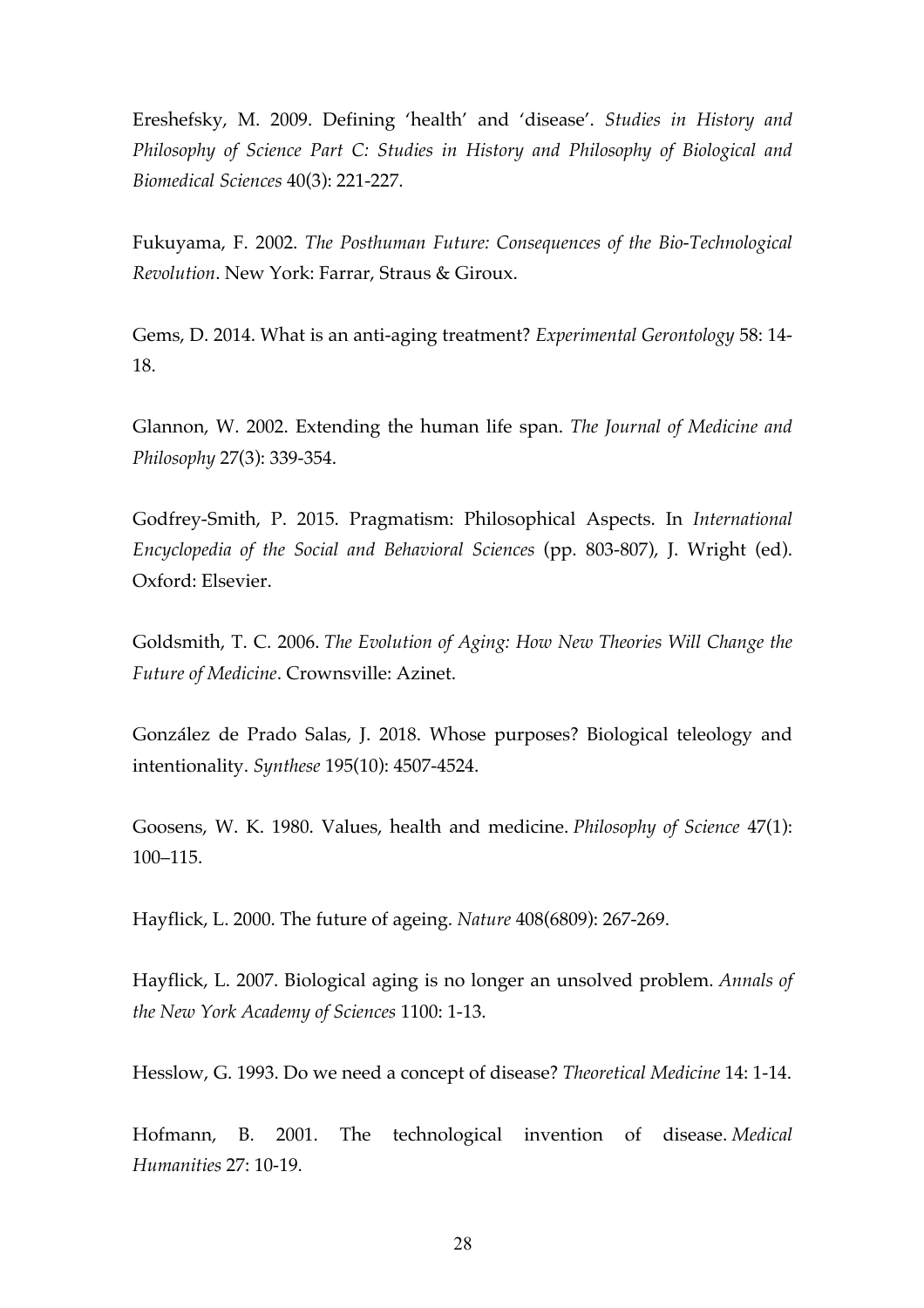Ereshefsky, M. 2009. Defining 'health' and 'disease'. *Studies in History and Philosophy of Science Part C: Studies in History and Philosophy of Biological and Biomedical Sciences* 40(3): 221-227.

Fukuyama, F. 2002. *The Posthuman Future: Consequences of the Bio-Technological Revolution*. New York: Farrar, Straus & Giroux.

Gems, D. 2014. What is an anti-aging treatment? *Experimental Gerontology* 58: 14- 18.

Glannon, W. 2002. Extending the human life span. *The Journal of Medicine and Philosophy* 27(3): 339-354.

Godfrey-Smith, P. 2015. Pragmatism: Philosophical Aspects. In *International Encyclopedia of the Social and Behavioral Sciences* (pp. 803-807), J. Wright (ed). Oxford: Elsevier.

Goldsmith, T. C. 2006. *The Evolution of Aging: How New Theories Will Change the Future of Medicine*. Crownsville: Azinet.

González de Prado Salas, J. 2018. Whose purposes? Biological teleology and intentionality. *Synthese* 195(10): 4507-4524.

Goosens, W. K. 1980. Values, health and medicine. *Philosophy of Science* 47(1): 100–115.

Hayflick, L. 2000. The future of ageing. *Nature* 408(6809): 267-269.

Hayflick, L. 2007. Biological aging is no longer an unsolved problem. *Annals of the New York Academy of Sciences* 1100: 1-13.

Hesslow, G. 1993. Do we need a concept of disease? *Theoretical Medicine* 14: 1-14.

Hofmann, B. 2001. The technological invention of disease. *Medical Humanities* 27: 10-19.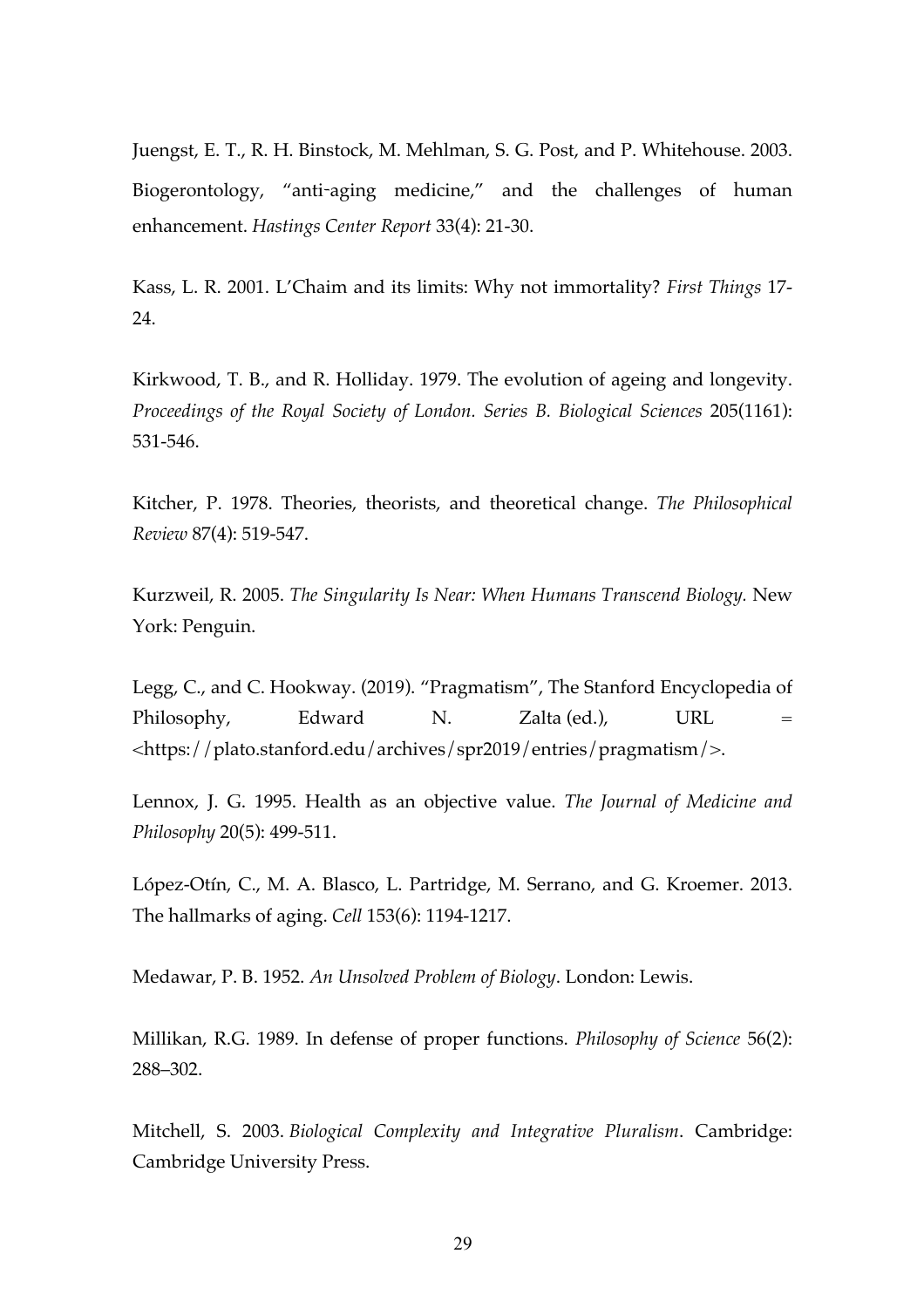Juengst, E. T., R. H. Binstock, M. Mehlman, S. G. Post, and P. Whitehouse. 2003. Biogerontology, "anti-aging medicine," and the challenges of human enhancement. *Hastings Center Report* 33(4): 21-30.

Kass, L. R. 2001. L'Chaim and its limits: Why not immortality? *First Things* 17- 24.

Kirkwood, T. B., and R. Holliday. 1979. The evolution of ageing and longevity. *Proceedings of the Royal Society of London. Series B. Biological Sciences* 205(1161): 531-546.

Kitcher, P. 1978. Theories, theorists, and theoretical change. *The Philosophical Review* 87(4): 519-547.

Kurzweil, R. 2005. *The Singularity Is Near: When Humans Transcend Biology.* New York: Penguin.

Legg, C., and C. Hookway. (2019). "Pragmatism", The Stanford Encyclopedia of Philosophy, Edward N. Zalta (ed.), URL = <https://plato.stanford.edu/archives/spr2019/entries/pragmatism/>.

Lennox, J. G. 1995. Health as an objective value. *The Journal of Medicine and Philosophy* 20(5): 499-511.

López-Otín, C., M. A. Blasco, L. Partridge, M. Serrano, and G. Kroemer. 2013. The hallmarks of aging. *Cell* 153(6): 1194-1217.

Medawar, P. B. 1952. *An Unsolved Problem of Biology*. London: Lewis.

Millikan, R.G. 1989. In defense of proper functions. *Philosophy of Science* 56(2): 288–302.

Mitchell, S. 2003. *Biological Complexity and Integrative Pluralism*. Cambridge: Cambridge University Press.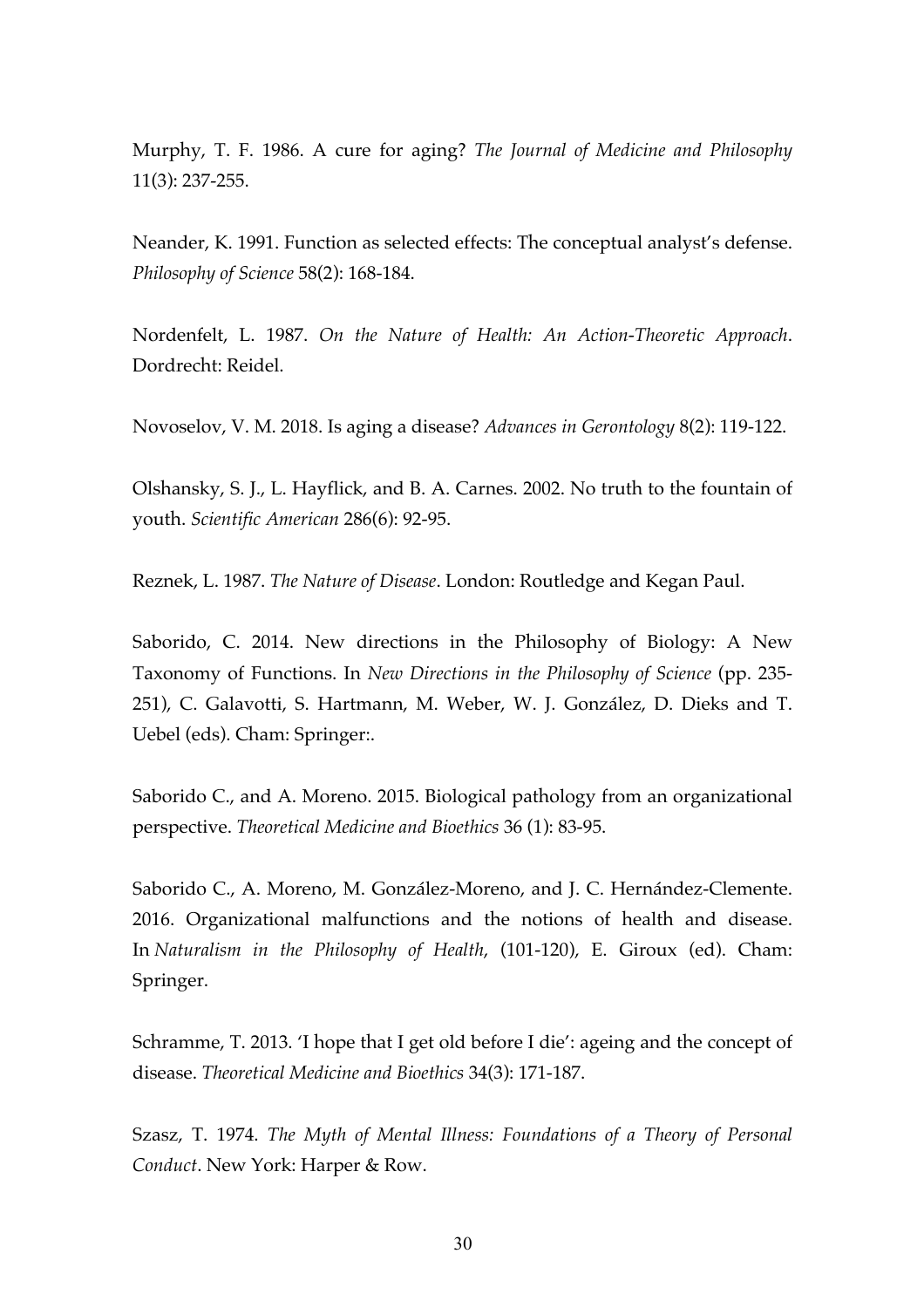Murphy, T. F. 1986. A cure for aging? *The Journal of Medicine and Philosophy* 11(3): 237-255.

Neander, K. 1991. Function as selected effects: The conceptual analyst's defense. *Philosophy of Science* 58(2): 168-184.

Nordenfelt, L. 1987. *On the Nature of Health: An Action-Theoretic Approach*. Dordrecht: Reidel.

Novoselov, V. M. 2018. Is aging a disease? *Advances in Gerontology* 8(2): 119-122.

Olshansky, S. J., L. Hayflick, and B. A. Carnes. 2002. No truth to the fountain of youth. *Scientific American* 286(6): 92-95.

Reznek, L. 1987. *The Nature of Disease*. London: Routledge and Kegan Paul.

Saborido, C. 2014. New directions in the Philosophy of Biology: A New Taxonomy of Functions. In *New Directions in the Philosophy of Science* (pp. 235- 251), C. Galavotti, S. Hartmann, M. Weber, W. J. González, D. Dieks and T. Uebel (eds). Cham: Springer:.

Saborido C., and A. Moreno. 2015. Biological pathology from an organizational perspective. *Theoretical Medicine and Bioethics* 36 (1): 83-95.

Saborido C., A. Moreno, M. González-Moreno, and J. C. Hernández-Clemente. 2016. Organizational malfunctions and the notions of health and disease. In *Naturalism in the Philosophy of Health*, (101-120), E. Giroux (ed). Cham: Springer.

Schramme, T. 2013. 'I hope that I get old before I die': ageing and the concept of disease. *Theoretical Medicine and Bioethics* 34(3): 171-187.

Szasz, T. 1974. *The Myth of Mental Illness: Foundations of a Theory of Personal Conduct*. New York: Harper & Row.